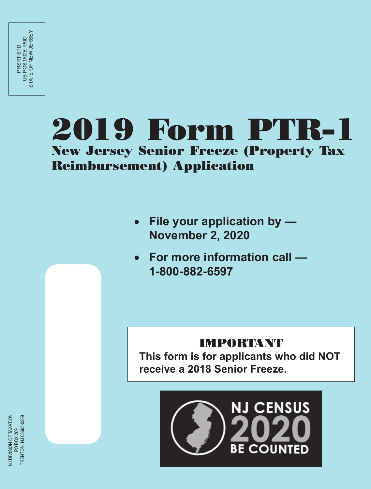**2019 Form PTR-1 New Jersey Senior Freeze (Property Tax Reimbursement) Application**

- **File your application by — November 2, 2020**
- **For more information call 1-800-882-6597**

## **IMPORTANT**

**This form is for applicants who did NOT receive a 2018 Senior Freeze.** 



**JJ DIVISION OF TAXATION** NJ DIVISION OF TAXATION **FRENTON, NJ 08695-0269** TRENTON, NJ 08695-0269PO BOX 269 PO BOX 269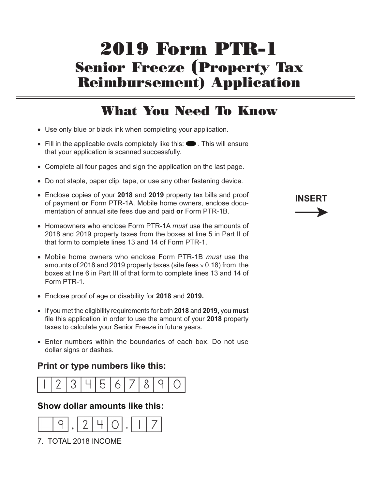# **2019 Form PTR-1 Senior Freeze (Property Tax Reimbursement) Application**

## **What You Need To Know**

- Use only blue or black ink when completing your application.
- Fill in the applicable ovals completely like this:  $\bullet$  . This will ensure that your application is scanned successfully.
- Complete all four pages and sign the application on the last page.
- Do not staple, paper clip, tape, or use any other fastening device.
- Enclose copies of your **2018** and **2019** property tax bills and proof of payment **or** Form PTR-1A. Mobile home owners, enclose documentation of annual site fees due and paid **or** Form PTR-1B.
- Homeowners who enclose Form PTR-1A *must* use the amounts of 2018 and 2019 property taxes from the boxes at line 5 in Part II of that form to complete lines 13 and 14 of Form PTR-1.
- Mobile home owners who enclose Form PTR-1B *must* use the amounts of 2018 and 2019 property taxes (site fees  $\times$  0.18) from the boxes at line 6 in Part III of that form to complete lines 13 and 14 of Form PTR-1.
- Enclose proof of age or disability for **2018** and **2019.**
- If you met the eligibility requirements for both **2018** and **2019,** you **must** file this application in order to use the amount of your **2018** property taxes to calculate your Senior Freeze in future years.
- Enter numbers within the boundaries of each box. Do not use dollar signs or dashes.

### **Print or type numbers like this:**



#### **Show dollar amounts like this:**



7. TOTAL 2018 INCOME

# **INSERT**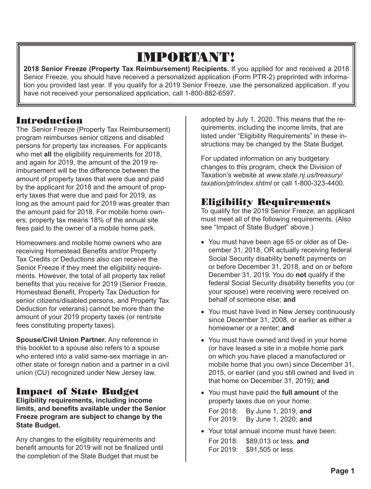# **IMPORTANT!**

**2018 Senior Freeze (Property Tax Reimbursement) Recipients.** If you applied for and received a 2018 Senior Freeze, you should have received a personalized application (Form PTR-2) preprinted with information you provided last year. If you qualify for a 2019 Senior Freeze, use the personalized application. If you have not received your personalized application, call 1-800-882-6597.

## **Introduction**

The Senior Freeze (Property Tax Reimbursement) program reimburses senior citizens and disabled persons for property tax increases. For applicants who met **all** the eligibility requirements for 2018, and again for 2019, the amount of the 2019 reimbursement will be the difference between the amount of property taxes that were due and paid by the applicant for 2018 and the amount of property taxes that were due and paid for 2019, as long as the amount paid for 2019 was greater than the amount paid for 2018. For mobile home owners, property tax means 18% of the annual site fees paid to the owner of a mobile home park.

Homeowners and mobile home owners who are receiving Homestead Benefits and/or Property Tax Credits or Deductions also can receive the Senior Freeze if they meet the eligibility requirements. However, the total of all property tax relief benefits that you receive for 2019 (Senior Freeze, Homestead Benefit, Property Tax Deduction for senior citizens/disabled persons, and Property Tax Deduction for veterans) cannot be more than the amount of your 2019 property taxes (or rent/site fees constituting property taxes).

**Spouse/Civil Union Partner.** Any reference in this booklet to a spouse also refers to a spouse who entered into a valid same-sex marriage in another state or foreign nation and a partner in a civil union (CU) recognized under New Jersey law.

## **Impact of State Budget**

**Eligibility requirements, including income limits, and benefits available under the Senior Freeze program are subject to change by the State Budget.** 

Any changes to the eligibility requirements and benefit amounts for 2019 will not be finalized until the completion of the State Budget that must be

adopted by July 1, 2020. This means that the requirements, including the income limits, that are listed under "Eligibility Requirements" in these instructions may be changed by the State Budget.

For updated information on any budgetary changes to this program, check the Division of Taxation's website at *www.state.nj.us/treasury/ taxation/ptr/index.shtml* or call 1-800-323-4400.

## **Eligibility Requirements**

To qualify for the 2019 Senior Freeze, an applicant must meet all of the following requirements. (Also see "Impact of State Budget" above.)

- You must have been age 65 or older as of December 31, 2018, OR actually receiving federal Social Security disability benefit payments on or before December 31, 2018, and on or before December 31, 2019. You do **not** qualify if the federal Social Security disability benefits you (or your spouse) were receiving were received on behalf of someone else; **and**
- You must have lived in New Jersey continuously since December 31, 2008, or earlier as either a homeowner or a renter; **and**
- You must have owned and lived in your home (or have leased a site in a mobile home park on which you have placed a manufactured or mobile home that you own) since December 31, 2015, or earlier (and you still owned and lived in that home on December 31, 2019); **and**
- You must have paid the **full amount** of the property taxes due on your home: For 2018: By June 1, 2019, **and** For 2019: By June 1, 2020; **and**
- Your total annual income must have been: For 2018: \$89,013 or less, **and** For 2019: \$91,505 or less.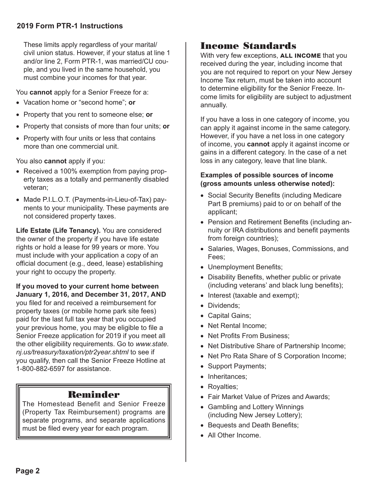#### **2019 Form PTR-1 Instructions**

These limits apply regardless of your marital/ civil union status. However, if your status at line 1 and/or line 2, Form PTR-1, was married/CU couple, and you lived in the same household, you must combine your incomes for that year.

You **cannot** apply for a Senior Freeze for a:

- Vacation home or "second home"; **or**
- Property that you rent to someone else; **or**
- Property that consists of more than four units; **or**
- Property with four units or less that contains more than one commercial unit.

You also **cannot** apply if you:

- Received a 100% exemption from paying property taxes as a totally and permanently disabled veteran;
- Made P.I.L.O.T. (Payments-in-Lieu-of-Tax) payments to your municipality. These payments are not considered property taxes.

**Life Estate (Life Tenancy).** You are considered the owner of the property if you have life estate rights or hold a lease for 99 years or more. You must include with your application a copy of an official document (e.g., deed, lease) establishing your right to occupy the property.

**If you moved to your current home between January 1, 2016, and December 31, 2017, AND** you filed for and received a reimbursement for property taxes (or mobile home park site fees) paid for the last full tax year that you occupied your previous home, you may be eligible to file a Senior Freeze application for 2019 if you meet all the other eligibility requirements. Go to *www.state. nj.us/treasury/taxation/ptr2year.shtml* to see if you qualify, then call the Senior Freeze Hotline at 1-800-882-6597 for assistance.

### **Reminder**

The Homestead Benefit and Senior Freeze (Property Tax Reimbursement) programs are separate programs, and separate applications must be filed every year for each program.

## **Income Standards**

With very few exceptions, **all income** that you received during the year, including income that you are not required to report on your New Jersey Income Tax return, must be taken into account to determine eligibility for the Senior Freeze. Income limits for eligibility are subject to adjustment annually.

If you have a loss in one category of income, you can apply it against income in the same category. However, if you have a net loss in one category of income, you **cannot** apply it against income or gains in a different category. In the case of a net loss in any category, leave that line blank.

#### **Examples of possible sources of income (gross amounts unless otherwise noted):**

- Social Security Benefits (including Medicare Part B premiums) paid to or on behalf of the applicant;
- Pension and Retirement Benefits (including annuity or IRA distributions and benefit payments from foreign countries);
- Salaries, Wages, Bonuses, Commissions, and Fees;
- Unemployment Benefits;
- Disability Benefits, whether public or private (including veterans' and black lung benefits);
- Interest (taxable and exempt);
- Dividends;
- Capital Gains;
- Net Rental Income;
- Net Profits From Business:
- Net Distributive Share of Partnership Income;
- Net Pro Rata Share of S Corporation Income;
- Support Payments;
- Inheritances:
- Rovalties:
- Fair Market Value of Prizes and Awards;
- Gambling and Lottery Winnings (including New Jersey Lottery);
- Bequests and Death Benefits;
- All Other Income.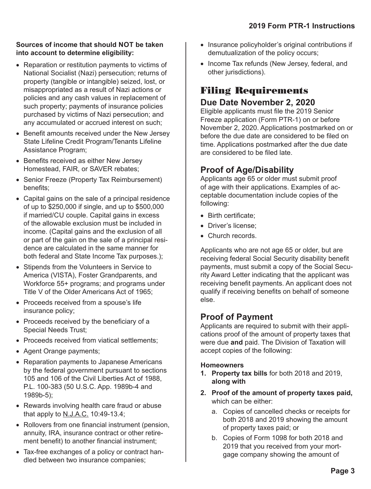#### **Sources of income that should NOT be taken into account to determine eligibility:**

- Reparation or restitution payments to victims of National Socialist (Nazi) persecution; returns of property (tangible or intangible) seized, lost, or misappropriated as a result of Nazi actions or policies and any cash values in replacement of such property; payments of insurance policies purchased by victims of Nazi persecution; and any accumulated or accrued interest on such;
- Benefit amounts received under the New Jersey State Lifeline Credit Program/Tenants Lifeline Assistance Program;
- Benefits received as either New Jersey Homestead, FAIR, or SAVER rebates;
- Senior Freeze (Property Tax Reimbursement) benefits;
- Capital gains on the sale of a principal residence of up to \$250,000 if single, and up to \$500,000 if married/CU couple. Capital gains in excess of the allowable exclusion must be included in income. (Capital gains and the exclusion of all or part of the gain on the sale of a principal residence are calculated in the same manner for both federal and State Income Tax purposes.);
- Stipends from the Volunteers in Service to America (VISTA), Foster Grandparents, and Workforce 55+ programs; and programs under Title V of the Older Americans Act of 1965;
- Proceeds received from a spouse's life insurance policy;
- Proceeds received by the beneficiary of a Special Needs Trust;
- Proceeds received from viatical settlements;
- Agent Orange payments;
- Reparation payments to Japanese Americans by the federal government pursuant to sections 105 and 106 of the Civil Liberties Act of 1988, P.L. 100-383 (50 U.S.C. App. 1989b-4 and 1989b-5);
- Rewards involving health care fraud or abuse that apply to N.J.A.C. 10:49-13.4;
- Rollovers from one financial instrument (pension, annuity, IRA, insurance contract or other retirement benefit) to another financial instrument;
- Tax-free exchanges of a policy or contract handled between two insurance companies;
- Insurance policyholder's original contributions if demutualization of the policy occurs;
- Income Tax refunds (New Jersey, federal, and other jurisdictions).

## **Filing Requirements Due Date November 2, 2020**

Eligible applicants must file the 2019 Senior Freeze application (Form PTR-1) on or before November 2, 2020. Applications postmarked on or before the due date are considered to be filed on time. Applications postmarked after the due date are considered to be filed late.

## **Proof of Age/Disability**

Applicants age 65 or older must submit proof of age with their applications. Examples of acceptable documentation include copies of the following:

- Birth certificate;
- Driver's license;
- Church records

Applicants who are not age 65 or older, but are receiving federal Social Security disability benefit payments, must submit a copy of the Social Security Award Letter indicating that the applicant was receiving benefit payments. An applicant does not qualify if receiving benefits on behalf of someone else.

### **Proof of Payment**

Applicants are required to submit with their applications proof of the amount of property taxes that were due **and** paid. The Division of Taxation will accept copies of the following:

#### **Homeowners**

- **1. Property tax bills** for both 2018 and 2019, **along with**
- **2. Proof of the amount of property taxes paid,**  which can be either:
	- a. Copies of cancelled checks or receipts for both 2018 and 2019 showing the amount of property taxes paid; or
	- b. Copies of Form 1098 for both 2018 and 2019 that you received from your mortgage company showing the amount of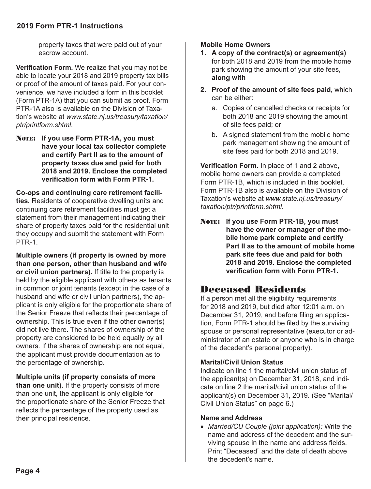#### **2019 Form PTR-1 Instructions**

property taxes that were paid out of your escrow account.

**Verification Form.** We realize that you may not be able to locate your 2018 and 2019 property tax bills or proof of the amount of taxes paid. For your convenience, we have included a form in this booklet (Form PTR-1A) that you can submit as proof. Form PTR-1A also is available on the Division of Taxation's website at *www.state.nj.us/treasury/taxation/ ptr/printform.shtml*.

Note: If you use Form PTR-1A, you must **have your local tax collector complete and certify Part II as to the amount of property taxes due and paid for both 2018 and 2019. Enclose the completed verification form with Form PTR-1.** 

**Co-ops and continuing care retirement facilities.** Residents of cooperative dwelling units and continuing care retirement facilities must get a statement from their management indicating their share of property taxes paid for the residential unit they occupy and submit the statement with Form PTR-1.

**Multiple owners (if property is owned by more than one person, other than husband and wife or civil union partners).** If title to the property is held by the eligible applicant with others as tenants in common or joint tenants (except in the case of a husband and wife or civil union partners), the applicant is only eligible for the proportionate share of the Senior Freeze that reflects their percentage of ownership. This is true even if the other owner(s) did not live there. The shares of ownership of the property are considered to be held equally by all owners. If the shares of ownership are not equal, the applicant must provide documentation as to the percentage of ownership.

**Multiple units (if property consists of more** 

**than one unit).** If the property consists of more than one unit, the applicant is only eligible for the proportionate share of the Senior Freeze that reflects the percentage of the property used as their principal residence.

#### **Mobile Home Owners**

- **1. A copy of the contract(s) or agreement(s)**  for both 2018 and 2019 from the mobile home park showing the amount of your site fees, **along with**
- **2. Proof of the amount of site fees paid,** which can be either:
	- a. Copies of cancelled checks or receipts for both 2018 and 2019 showing the amount of site fees paid; or
	- b. A signed statement from the mobile home park management showing the amount of site fees paid for both 2018 and 2019.

**Verification Form.** In place of 1 and 2 above, mobile home owners can provide a completed Form PTR-1B, which is included in this booklet. Form PTR-1B also is available on the Division of Taxation's website at *www.state.nj.us/treasury/ taxation/ptr/printform.shtml*.

Note: If you use Form PTR-1B, you must **have the owner or manager of the mobile home park complete and certify Part II as to the amount of mobile home park site fees due and paid for both 2018 and 2019. Enclose the completed verification form with Form PTR-1.**

## **Deceased Residents**

If a person met all the eligibility requirements for 2018 and 2019, but died after 12:01 a.m. on December 31, 2019, and before filing an application, Form PTR-1 should be filed by the surviving spouse or personal representative (executor or administrator of an estate or anyone who is in charge of the decedent's personal property).

#### **Marital/Civil Union Status**

Indicate on line 1 the marital/civil union status of the applicant(s) on December 31, 2018, and indicate on line 2 the marital/civil union status of the applicant(s) on December 31, 2019. (See "Marital/ Civil Union Status" on page 6.)

#### **Name and Address**

• *Married/CU Couple (joint application):* Write the name and address of the decedent and the surviving spouse in the name and address fields. Print "Deceased" and the date of death above the decedent's name.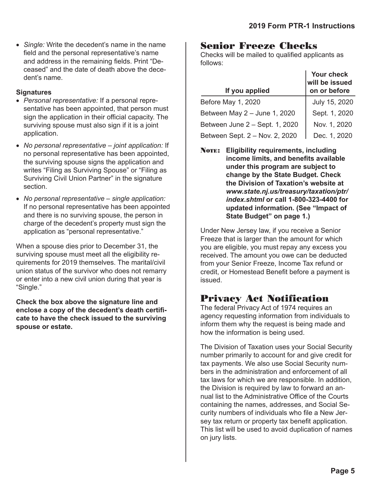• *Single:* Write the decedent's name in the name field and the personal representative's name and address in the remaining fields. Print "Deceased" and the date of death above the decedent's name.

#### **Signatures**

- *Personal representative:* If a personal representative has been appointed, that person must sign the application in their official capacity. The surviving spouse must also sign if it is a joint application.
- *No personal representative joint application:* If no personal representative has been appointed, the surviving spouse signs the application and writes "Filing as Surviving Spouse" or "Filing as Surviving Civil Union Partner" in the signature section.
- *No personal representative single application:*  If no personal representative has been appointed and there is no surviving spouse, the person in charge of the decedent's property must sign the application as "personal representative."

When a spouse dies prior to December 31, the surviving spouse must meet all the eligibility requirements for 2019 themselves. The marital/civil union status of the survivor who does not remarry or enter into a new civil union during that year is "Single."

**Check the box above the signature line and enclose a copy of the decedent's death certificate to have the check issued to the surviving spouse or estate.**

## **Senior Freeze Checks**

Checks will be mailed to qualified applicants as follows:

| If you applied                 | Your check<br>  will be issued<br>  on or before |
|--------------------------------|--------------------------------------------------|
| Before May 1, 2020             | July 15, 2020                                    |
| Between May 2 - June 1, 2020   | Sept. 1, 2020                                    |
| Between June 2 - Sept. 1, 2020 | Nov. 1, 2020                                     |
| Between Sept. 2 - Nov. 2, 2020 | Dec. 1, 2020                                     |

**Nore:** Eligibility requirements, including **income limits, and benefits available under this program are subject to change by the State Budget. Check the Division of Taxation's website at**  *www.state.nj.us/treasury/taxation/ptr/ index.shtml* **or call 1-800-323-4400 for updated information. (See "Impact of State Budget" on page 1.)**

Under New Jersey law, if you receive a Senior Freeze that is larger than the amount for which you are eligible, you must repay any excess you received. The amount you owe can be deducted from your Senior Freeze, Income Tax refund or credit, or Homestead Benefit before a payment is issued.

## **Privacy Act Notification**

The federal Privacy Act of 1974 requires an agency requesting information from individuals to inform them why the request is being made and how the information is being used.

The Division of Taxation uses your Social Security number primarily to account for and give credit for tax payments. We also use Social Security numbers in the administration and enforcement of all tax laws for which we are responsible. In addition, the Division is required by law to forward an annual list to the Administrative Office of the Courts containing the names, addresses, and Social Security numbers of individuals who file a New Jersey tax return or property tax benefit application. This list will be used to avoid duplication of names on jury lists.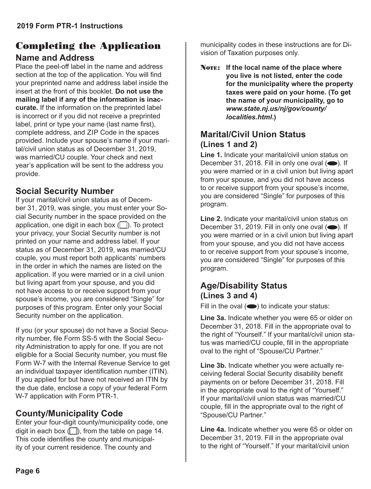## **Completing the Application**

## **Name and Address**

Place the peel-off label in the name and address section at the top of the application. You will find your preprinted name and address label inside the insert at the front of this booklet. **Do not use the mailing label if any of the information is inaccurate.** If the information on the preprinted label is incorrect or if you did not receive a preprinted label, print or type your name (last name first), complete address, and ZIP Code in the spaces provided. Include your spouse's name if your marital/civil union status as of December 31, 2019, was married/CU couple. Your check and next year's application will be sent to the address you provide.

## **Social Security Number**

If your marital/civil union status as of December 31, 2019, was single, you must enter your Social Security number in the space provided on the application, one digit in each box  $\Box$ ). To protect your privacy, your Social Security number is not printed on your name and address label. If your status as of December 31, 2019, was married/CU couple, you must report both applicants' numbers in the order in which the names are listed on the application. If you were married or in a civil union but living apart from your spouse, and you did not have access to or receive support from your spouse's income, you are considered "Single" for purposes of this program. Enter only your Social Security number on the application.

If you (or your spouse) do not have a Social Security number, file Form SS-5 with the Social Security Administration to apply for one. If you are not eligible for a Social Security number, you must file Form W-7 with the Internal Revenue Service to get an individual taxpayer identification number (ITIN). If you applied for but have not received an ITIN by the due date, enclose a copy of your federal Form W-7 application with Form PTR-1.

## **County/Municipality Code**

Enter your four-digit county/municipality code, one digit in each box  $\Box$ ), from the table on page 14. This code identifies the county and municipality of your current residence. The county and

municipality codes in these instructions are for Division of Taxation purposes only.

**Nore:** If the local name of the place where **you live is not listed, enter the code for the municipality where the property taxes were paid on your home. (To get the name of your municipality, go to**  *www.state.nj.us/nj/gov/county/ localities.html***.)** 

## **Marital/Civil Union Status (Lines 1 and 2)**

**Line 1.** Indicate your marital/civil union status on December 31, 2018. Fill in only one oval  $\implies$ ). If you were married or in a civil union but living apart from your spouse, and you did not have access to or receive support from your spouse's income, you are considered "Single" for purposes of this program.

**Line 2.** Indicate your marital/civil union status on December 31, 2019. Fill in only one oval  $\implies$ ). If you were married or in a civil union but living apart from your spouse, and you did not have access to or receive support from your spouse's income, you are considered "Single" for purposes of this program.

## **Age/Disability Status (Lines 3 and 4)**

Fill in the oval  $\textcircled{\bullet}$  to indicate your status:

**Line 3a.** Indicate whether you were 65 or older on December 31, 2018. Fill in the appropriate oval to the right of "Yourself." If your marital/civil union status was married/CU couple, fill in the appropriate oval to the right of "Spouse/CU Partner."

**Line 3b.** Indicate whether you were actually receiving federal Social Security disability benefit payments on or before December 31, 2018. Fill in the appropriate oval to the right of "Yourself." If your marital/civil union status was married/CU couple, fill in the appropriate oval to the right of "Spouse/CU Partner."

**Line 4a.** Indicate whether you were 65 or older on December 31, 2019. Fill in the appropriate oval to the right of "Yourself." If your marital/civil union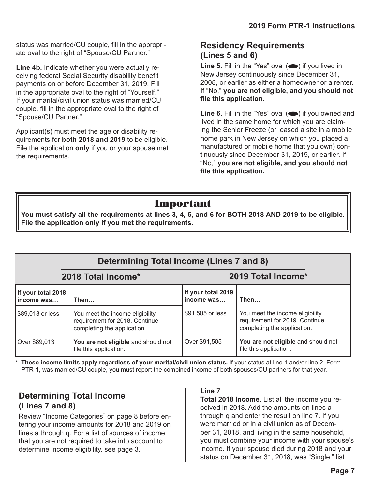status was married/CU couple, fill in the appropriate oval to the right of "Spouse/CU Partner."

**Line 4b.** Indicate whether you were actually receiving federal Social Security disability benefit payments on or before December 31, 2019. Fill in the appropriate oval to the right of "Yourself." If your marital/civil union status was married/CU couple, fill in the appropriate oval to the right of "Spouse/CU Partner."

Applicant(s) must meet the age or disability requirements for **both 2018 and 2019** to be eligible. File the application **only** if you or your spouse met the requirements.

### **Residency Requirements (Lines 5 and 6)**

**Line 5.** Fill in the "Yes" oval (•) if you lived in New Jersey continuously since December 31, 2008, or earlier as either a homeowner or a renter. If "No," **you are not eligible, and you should not file this application.**

**Line 6.** Fill in the "Yes" oval (**•**) if you owned and lived in the same home for which you are claiming the Senior Freeze (or leased a site in a mobile home park in New Jersey on which you placed a manufactured or mobile home that you own) continuously since December 31, 2015, or earlier. If "No," **you are not eligible, and you should not file this application.**

## **Important**

**You must satisfy all the requirements at lines 3, 4, 5, and 6 for BOTH 2018 AND 2019 to be eligible. File the application only if you met the requirements.** 

## **Determining Total Income (Lines 7 and 8)**

|                                    | 2018 Total Income*                                                                               | 2019 Total Income*               |                                                                                                  |  |  |  |
|------------------------------------|--------------------------------------------------------------------------------------------------|----------------------------------|--------------------------------------------------------------------------------------------------|--|--|--|
| If your total 2018<br>l income was | Then                                                                                             | If your total 2019<br>income was | Then                                                                                             |  |  |  |
| \$89,013 or less                   | You meet the income eligibility<br>requirement for 2018. Continue<br>completing the application. | \$91,505 or less                 | You meet the income eligibility<br>requirement for 2019. Continue<br>completing the application. |  |  |  |
| Over \$89,013                      | You are not eligible and should not<br>file this application.                                    | Over \$91,505                    | You are not eligible and should not<br>file this application.                                    |  |  |  |

\* **These income limits apply regardless of your marital/civil union status.** If your status at line 1 and/or line 2, Form PTR-1, was married/CU couple, you must report the combined income of both spouses/CU partners for that year.

## **Determining Total Income (Lines 7 and 8)**

Review "Income Categories" on page 8 before entering your income amounts for 2018 and 2019 on lines a through q. For a list of sources of income that you are not required to take into account to determine income eligibility, see page 3.

#### **Line 7**

**Total 2018 Income.** List all the income you received in 2018. Add the amounts on lines a through q and enter the result on line 7. If you were married or in a civil union as of December 31, 2018, and living in the same household, you must combine your income with your spouse's income. If your spouse died during 2018 and your status on December 31, 2018, was "Single," list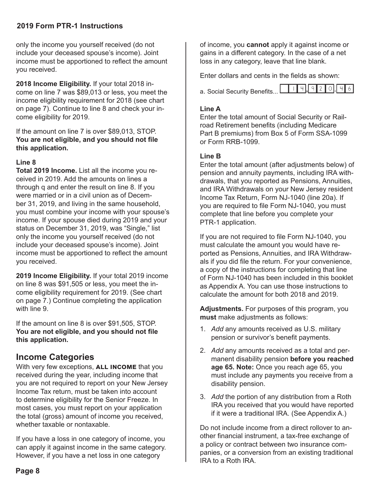#### **2019 Form PTR-1 Instructions**

only the income you yourself received (do not include your deceased spouse's income). Joint income must be apportioned to reflect the amount you received.

**2018 Income Eligibility.** If your total 2018 income on line 7 was \$89,013 or less, you meet the income eligibility requirement for 2018 (see chart on page 7). Continue to line 8 and check your income eligibility for 2019.

If the amount on line 7 is over \$89,013, STOP. **You are not eligible, and you should not file this application.** 

#### **Line 8**

**Total 2019 Income.** List all the income you received in 2019. Add the amounts on lines a through q and enter the result on line 8. If you were married or in a civil union as of December 31, 2019, and living in the same household, you must combine your income with your spouse's income. If your spouse died during 2019 and your status on December 31, 2019, was "Single," list only the income you yourself received (do not include your deceased spouse's income). Joint income must be apportioned to reflect the amount you received.

**2019 Income Eligibility.** If your total 2019 income on line 8 was \$91,505 or less, you meet the income eligibility requirement for 2019. (See chart on page 7.) Continue completing the application with line 9.

If the amount on line 8 is over \$91,505, STOP. **You are not eligible, and you should not file this application.** 

#### **Income Categories**

With very few exceptions, **all income** that you received during the year, including income that you are not required to report on your New Jersey Income Tax return, must be taken into account to determine eligibility for the Senior Freeze. In most cases, you must report on your application the total (gross) amount of income you received, whether taxable or nontaxable.

If you have a loss in one category of income, you can apply it against income in the same category. However, if you have a net loss in one category

of income, you **cannot** apply it against income or gains in a different category. In the case of a net loss in any category, leave that line blank.

Enter dollars and cents in the fields as shown:

a. Social Security Benefits...



#### **Line A**

Enter the total amount of Social Security or Railroad Retirement benefits (including Medicare Part B premiums) from Box 5 of Form SSA-1099 or Form RRB-1099.

#### **Line B**

Enter the total amount (after adjustments below) of pension and annuity payments, including IRA withdrawals, that you reported as Pensions, Annuities, and IRA Withdrawals on your New Jersey resident Income Tax Return, Form NJ-1040 (line 20a). If you are required to file Form NJ-1040, you must complete that line before you complete your PTR-1 application.

If you are not required to file Form NJ-1040, you must calculate the amount you would have reported as Pensions, Annuities, and IRA Withdrawals if you did file the return. For your convenience, a copy of the instructions for completing that line of Form NJ-1040 has been included in this booklet as Appendix A. You can use those instructions to calculate the amount for both 2018 and 2019.

**Adjustments.** For purposes of this program, you **must** make adjustments as follows:

- 1. *Add* any amounts received as U.S. military pension or survivor's benefit payments.
- 2. *Add* any amounts received as a total and permanent disability pension **before you reached age 65. Note:** Once you reach age 65, you must include any payments you receive from a disability pension.
- 3. *Add* the portion of any distribution from a Roth IRA you received that you would have reported if it were a traditional IRA. (See Appendix A.)

Do not include income from a direct rollover to another financial instrument, a tax-free exchange of a policy or contract between two insurance companies, or a conversion from an existing traditional IRA to a Roth IRA.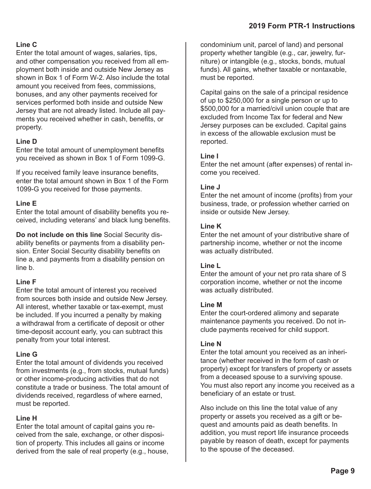#### **Line C**

Enter the total amount of wages, salaries, tips, and other compensation you received from all employment both inside and outside New Jersey as shown in Box 1 of Form W-2. Also include the total amount you received from fees, commissions, bonuses, and any other payments received for services performed both inside and outside New Jersey that are not already listed. Include all payments you received whether in cash, benefits, or property.

#### **Line D**

Enter the total amount of unemployment benefits you received as shown in Box 1 of Form 1099-G.

If you received family leave insurance benefits, enter the total amount shown in Box 1 of the Form 1099-G you received for those payments.

#### **Line E**

Enter the total amount of disability benefits you received, including veterans' and black lung benefits.

**Do not include on this line** Social Security disability benefits or payments from a disability pension. Enter Social Security disability benefits on line a, and payments from a disability pension on line b.

#### **Line F**

Enter the total amount of interest you received from sources both inside and outside New Jersey. All interest, whether taxable or tax-exempt, must be included. If you incurred a penalty by making a withdrawal from a certificate of deposit or other time-deposit account early, you can subtract this penalty from your total interest.

#### **Line G**

Enter the total amount of dividends you received from investments (e.g., from stocks, mutual funds) or other income-producing activities that do not constitute a trade or business. The total amount of dividends received, regardless of where earned, must be reported.

#### **Line H**

Enter the total amount of capital gains you received from the sale, exchange, or other disposition of property. This includes all gains or income derived from the sale of real property (e.g., house, condominium unit, parcel of land) and personal property whether tangible (e.g., car, jewelry, furniture) or intangible (e.g., stocks, bonds, mutual funds). All gains, whether taxable or nontaxable, must be reported.

Capital gains on the sale of a principal residence of up to \$250,000 for a single person or up to \$500,000 for a married/civil union couple that are excluded from Income Tax for federal and New Jersey purposes can be excluded. Capital gains in excess of the allowable exclusion must be reported.

#### **Line I**

Enter the net amount (after expenses) of rental income you received.

#### **Line J**

Enter the net amount of income (profits) from your business, trade, or profession whether carried on inside or outside New Jersey.

#### **Line K**

Enter the net amount of your distributive share of partnership income, whether or not the income was actually distributed.

#### **Line L**

Enter the amount of your net pro rata share of S corporation income, whether or not the income was actually distributed.

#### **Line M**

Enter the court-ordered alimony and separate maintenance payments you received. Do not include payments received for child support.

#### **Line N**

Enter the total amount you received as an inheritance (whether received in the form of cash or property) except for transfers of property or assets from a deceased spouse to a surviving spouse. You must also report any income you received as a beneficiary of an estate or trust.

Also include on this line the total value of any property or assets you received as a gift or bequest and amounts paid as death benefits. In addition, you must report life insurance proceeds payable by reason of death, except for payments to the spouse of the deceased.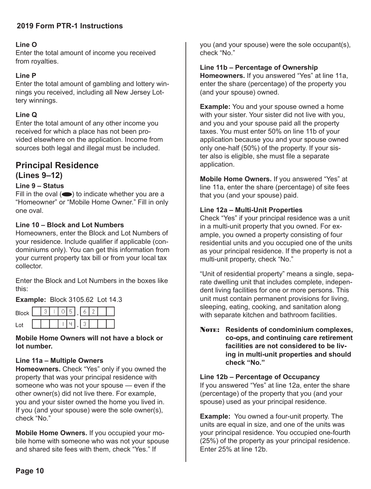#### **2019 Form PTR-1 Instructions**

#### **Line O**

Enter the total amount of income you received from royalties.

#### **Line P**

Enter the total amount of gambling and lottery winnings you received, including all New Jersey Lottery winnings.

#### **Line Q**

Enter the total amount of any other income you received for which a place has not been provided elsewhere on the application. Income from sources both legal and illegal must be included.

## **Principal Residence (Lines 9–12)**

#### **Line 9 – Status**

Fill in the oval  $($  ) to indicate whether you are a "Homeowner" or "Mobile Home Owner." Fill in only one oval.

#### **Line 10 – Block and Lot Numbers**

Homeowners, enter the Block and Lot Numbers of your residence. Include qualifier if applicable (condominiums only). You can get this information from your current property tax bill or from your local tax collector.

Enter the Block and Lot Numbers in the boxes like this:

**Example:** Block 3105.62 Lot 14.3

| <b>Block</b> |  |  |  |  |  |
|--------------|--|--|--|--|--|
|              |  |  |  |  |  |

**Mobile Home Owners will not have a block or lot number.**

#### **Line 11a – Multiple Owners**

**Homeowners.** Check "Yes" only if you owned the property that was your principal residence with someone who was not your spouse — even if the other owner(s) did not live there. For example, you and your sister owned the home you lived in. If you (and your spouse) were the sole owner(s), check "No."

**Mobile Home Owners.** If you occupied your mobile home with someone who was not your spouse and shared site fees with them, check "Yes." If

you (and your spouse) were the sole occupant(s), check "No."

#### **Line 11b – Percentage of Ownership**

**Homeowners.** If you answered "Yes" at line 11a, enter the share (percentage) of the property you (and your spouse) owned.

**Example:** You and your spouse owned a home with your sister. Your sister did not live with you, and you and your spouse paid all the property taxes. You must enter 50% on line 11b of your application because you and your spouse owned only one-half (50%) of the property. If your sister also is eligible, she must file a separate application.

**Mobile Home Owners.** If you answered "Yes" at line 11a, enter the share (percentage) of site fees that you (and your spouse) paid.

#### **Line 12a – Multi-Unit Properties**

Check "Yes" if your principal residence was a unit in a multi-unit property that you owned. For example, you owned a property consisting of four residential units and you occupied one of the units as your principal residence. If the property is not a multi-unit property, check "No."

"Unit of residential property" means a single, separate dwelling unit that includes complete, independent living facilities for one or more persons. This unit must contain permanent provisions for living, sleeping, eating, cooking, and sanitation along with separate kitchen and bathroom facilities.

**NOTE:** Residents of condominium complexes, **co-ops, and continuing care retirement facilities are not considered to be living in multi-unit properties and should check "No."**

#### **Line 12b – Percentage of Occupancy**

If you answered "Yes" at line 12a, enter the share (percentage) of the property that you (and your spouse) used as your principal residence.

**Example:** You owned a four-unit property. The units are equal in size, and one of the units was your principal residence. You occupied one-fourth (25%) of the property as your principal residence. Enter 25% at line 12b.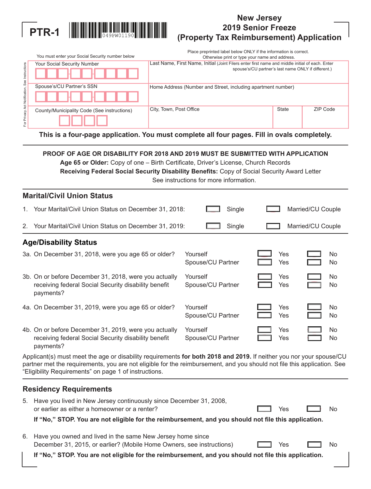

#### **New Jersey 2019 Senior Freeze (PTR-1** WILD BE TREADULE 1) (Property Tax Reimbursement) Application

|                             | You must enter your Social Security number below | Place preprinted label below ONLY if the information is correct.<br>Otherwise print or type your name and address.                                     |       |          |  |  |
|-----------------------------|--------------------------------------------------|--------------------------------------------------------------------------------------------------------------------------------------------------------|-------|----------|--|--|
| Instructions                | Your Social Security Number                      | Last Name, First Name, Initial (Joint Filers enter first name and middle initial of each. Enter<br>spouse's/CU partner's last name ONLY if different.) |       |          |  |  |
| ee                          |                                                  |                                                                                                                                                        |       |          |  |  |
|                             | Spouse's/CU Partner's SSN                        | Home Address (Number and Street, including apartment number)                                                                                           |       |          |  |  |
| Privacy Act Notification, S |                                                  |                                                                                                                                                        |       |          |  |  |
|                             | County/Municipality Code (See instructions)      | City, Town, Post Office                                                                                                                                | State | ZIP Code |  |  |
| For                         |                                                  |                                                                                                                                                        |       |          |  |  |

**This is a four-page application. You must complete all four pages. Fill in ovals completely.**

| <b>PROOF OF AGE OR DISABILITY FOR 2018 AND 2019 MUST BE SUBMITTED WITH APPLICATION</b>      |        |                   |  |  |  |  |  |  |
|---------------------------------------------------------------------------------------------|--------|-------------------|--|--|--|--|--|--|
| Age 65 or Older: Copy of one - Birth Certificate, Driver's License, Church Records          |        |                   |  |  |  |  |  |  |
| Receiving Federal Social Security Disability Benefits: Copy of Social Security Award Letter |        |                   |  |  |  |  |  |  |
| See instructions for more information.                                                      |        |                   |  |  |  |  |  |  |
| <b>Marital/Civil Union Status</b>                                                           |        |                   |  |  |  |  |  |  |
| 1. Your Marital/Civil Union Status on December 31, 2018:                                    | Single | Married/CU Couple |  |  |  |  |  |  |
| Single<br>Married/CU Couple<br>2. Your Marital/Civil Union Status on December 31, 2019:     |        |                   |  |  |  |  |  |  |
| <b>Age/Disability Status</b>                                                                |        |                   |  |  |  |  |  |  |

| 3a. On December 31, 2018, were you age 65 or older?                                                                        | Yourself<br>Spouse/CU Partner | Yes<br>Yes | No.<br>No. |
|----------------------------------------------------------------------------------------------------------------------------|-------------------------------|------------|------------|
| 3b. On or before December 31, 2018, were you actually<br>receiving federal Social Security disability benefit<br>payments? | Yourself<br>Spouse/CU Partner | Yes<br>Yes | No.<br>No. |
| 4a. On December 31, 2019, were you age 65 or older?                                                                        | Yourself<br>Spouse/CU Partner | Yes<br>Yes | No.<br>No. |
| 4b. On or before December 31, 2019, were you actually<br>receiving federal Social Security disability benefit<br>payments? | Yourself<br>Spouse/CU Partner | Yes<br>Yes | No.<br>No. |

Applicant(s) must meet the age or disability requirements **for both 2018 and 2019.** If neither you nor your spouse/CU partner met the requirements, you are not eligible for the reimbursement, and you should not file this application. See "Eligibility Requirements" on page 1 of instructions.

#### **Residency Requirements**

| 5. Have you lived in New Jersey continuously since December 31, 2008, |                 |           |  |
|-----------------------------------------------------------------------|-----------------|-----------|--|
| or earlier as either a homeowner or a renter?                         | <b>Note</b> Yes | $\Box$ No |  |

**If "No," STOP. You are not eligible for the reimbursement, and you should not file this application.**

6. Have you owned and lived in the same New Jersey home since December 31, 2015, or earlier? (Mobile Home Owners, see instructions) No No No No

**If "No," STOP. You are not eligible for the reimbursement, and you should not file this application.**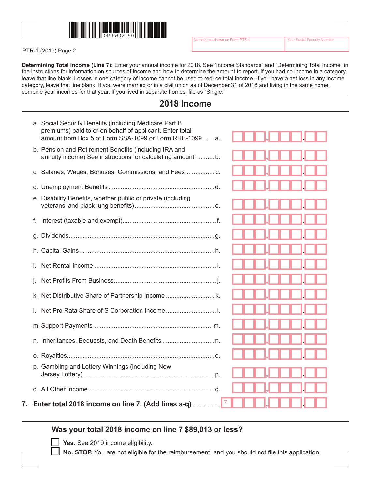

**Determining Total Income (Line 7):** Enter your annual income for 2018. See "Income Standards" and "Determining Total Income" in the instructions for information on sources of income and how to determine the amount to report. If you had no income in a category, leave that line blank. Losses in one category of income cannot be used to reduce total income. If you have a net loss in any income category, leave that line blank. If you were married or in a civil union as of December 31 of 2018 and living in the same home, combine your incomes for that year. If you lived in separate homes, file as "Single."

## **2018 Income**

| 7. | Enter total 2018 income on line 7. (Add lines a-q)                                                                                                                          |  |
|----|-----------------------------------------------------------------------------------------------------------------------------------------------------------------------------|--|
|    |                                                                                                                                                                             |  |
|    | p. Gambling and Lottery Winnings (including New                                                                                                                             |  |
|    |                                                                                                                                                                             |  |
|    |                                                                                                                                                                             |  |
|    |                                                                                                                                                                             |  |
|    |                                                                                                                                                                             |  |
|    |                                                                                                                                                                             |  |
|    | ı.                                                                                                                                                                          |  |
|    | Τ.                                                                                                                                                                          |  |
|    |                                                                                                                                                                             |  |
|    |                                                                                                                                                                             |  |
|    | t.                                                                                                                                                                          |  |
|    | e. Disability Benefits, whether public or private (including                                                                                                                |  |
|    |                                                                                                                                                                             |  |
|    |                                                                                                                                                                             |  |
|    | b. Pension and Retirement Benefits (including IRA and<br>annuity income) See instructions for calculating amount b.                                                         |  |
|    | a. Social Security Benefits (including Medicare Part B<br>premiums) paid to or on behalf of applicant. Enter total<br>amount from Box 5 of Form SSA-1099 or Form RRB-1099a. |  |

#### **Was your total 2018 income on line 7 \$89,013 or less?**

Yes. See 2019 income eligibility.

**No. STOP.** You are not eligible for the reimbursement, and you should not file this application.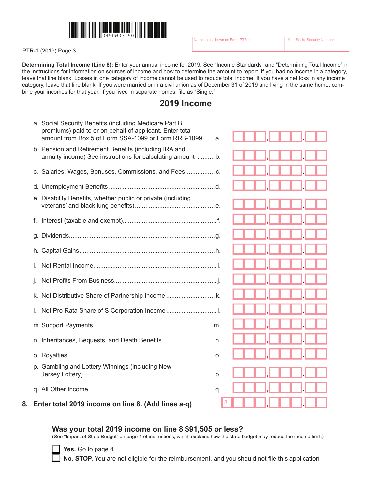

PTR-1 (2019) Page 3

**Determining Total Income (Line 8):** Enter your annual income for 2019. See "Income Standards" and "Determining Total Income" in the instructions for information on sources of income and how to determine the amount to report. If you had no income in a category, leave that line blank. Losses in one category of income cannot be used to reduce total income. If you have a net loss in any income category, leave that line blank. If you were married or in a civil union as of December 31 of 2019 and living in the same home, combine your incomes for that year. If you lived in separate homes, file as "Single."

### **2019 Income**

| 8. Enter total 2019 income on line 8. (Add lines a-q)                                                                                                                       |  |
|-----------------------------------------------------------------------------------------------------------------------------------------------------------------------------|--|
|                                                                                                                                                                             |  |
| p. Gambling and Lottery Winnings (including New                                                                                                                             |  |
|                                                                                                                                                                             |  |
|                                                                                                                                                                             |  |
|                                                                                                                                                                             |  |
|                                                                                                                                                                             |  |
|                                                                                                                                                                             |  |
|                                                                                                                                                                             |  |
| Τ.                                                                                                                                                                          |  |
|                                                                                                                                                                             |  |
|                                                                                                                                                                             |  |
| f.                                                                                                                                                                          |  |
| e. Disability Benefits, whether public or private (including                                                                                                                |  |
|                                                                                                                                                                             |  |
| c. Salaries, Wages, Bonuses, Commissions, and Fees                                                                                                                          |  |
| b. Pension and Retirement Benefits (including IRA and<br>annuity income) See instructions for calculating amount b.                                                         |  |
| a. Social Security Benefits (including Medicare Part B<br>premiums) paid to or on behalf of applicant. Enter total<br>amount from Box 5 of Form SSA-1099 or Form RRB-1099a. |  |

#### **Was your total 2019 income on line 8 \$91,505 or less?**

(See "Impact of State Budget" on page 1 of instructions, which explains how the state budget may reduce the income limit.)

**Yes.** Go to page 4.

**No. STOP.** You are not eligible for the reimbursement, and you should not file this application.

Name(s) as shown on Form PTR-1 Your Social Security Number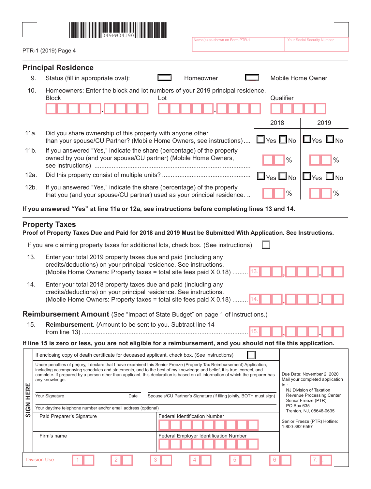

| 004190 <b>                      </b> | Name(s) as shown on Form PTR-1 | <b>Your Social Security Number</b> |
|--------------------------------------|--------------------------------|------------------------------------|
|                                      |                                |                                    |

| <b>Principal Residence</b> |
|----------------------------|

PTR-1 (2019) Page 4

| 9.              | Status (fill in appropriate oval):                                                                                                               |     | Homeowner | Mobile Home Owner    |                      |
|-----------------|--------------------------------------------------------------------------------------------------------------------------------------------------|-----|-----------|----------------------|----------------------|
| 10.             | Homeowners: Enter the block and lot numbers of your 2019 principal residence.<br><b>Block</b>                                                    | Lot |           | Qualifier            |                      |
|                 |                                                                                                                                                  |     |           | 2018                 | 2019                 |
| 11a.            | Did you share ownership of this property with anyone other<br>than your spouse/CU Partner? (Mobile Home Owners, see instructions)                |     |           | $\Box$ Yes $\Box$ No | $\Box$ Yes $\Box$ No |
| 11 <sub>b</sub> | If you answered "Yes," indicate the share (percentage) of the property<br>owned by you (and your spouse/CU partner) (Mobile Home Owners,         |     |           | $\frac{0}{0}$        | $\frac{0}{0}$        |
| 12a.            |                                                                                                                                                  |     |           | $\Box$ Yes $\Box$ No | $\Box$ Yes $\Box$ No |
| 12b.            | If you answered "Yes," indicate the share (percentage) of the property<br>that you (and your spouse/CU partner) used as your principal residence |     |           | $\%$                 | $\%$                 |

**If you answered "Yes" at line 11a or 12a, see instructions before completing lines 13 and 14.**

#### **Property Taxes**

**Proof of Property Taxes Due and Paid for 2018 and 2019 Must be Submitted With Application. See Instructions.**

| If you are claiming property taxes for additional lots, check box. (See instructions)                                                                                                                                                                                                                                                                                                                                                                                        |                                                                                                                                                                                                                              |                                                                                                                 |                                                                             |  |  |  |
|------------------------------------------------------------------------------------------------------------------------------------------------------------------------------------------------------------------------------------------------------------------------------------------------------------------------------------------------------------------------------------------------------------------------------------------------------------------------------|------------------------------------------------------------------------------------------------------------------------------------------------------------------------------------------------------------------------------|-----------------------------------------------------------------------------------------------------------------|-----------------------------------------------------------------------------|--|--|--|
| 13.                                                                                                                                                                                                                                                                                                                                                                                                                                                                          | Enter your total 2019 property taxes due and paid (including any<br>credits/deductions) on your principal residence. See instructions.<br>(Mobile Home Owners: Property taxes = total site fees paid $X$ 0.18) <sup>13</sup> |                                                                                                                 |                                                                             |  |  |  |
|                                                                                                                                                                                                                                                                                                                                                                                                                                                                              | 14.<br>Enter your total 2018 property taxes due and paid (including any<br>credits/deductions) on your principal residence. See instructions.<br>(Mobile Home Owners: Property taxes = total site fees paid $X$ 0.18)  14.   |                                                                                                                 |                                                                             |  |  |  |
| 15.                                                                                                                                                                                                                                                                                                                                                                                                                                                                          | <b>Reimbursement Amount</b> (See "Impact of State Budget" on page 1 of instructions.)<br><b>Reimbursement.</b> (Amount to be sent to you. Subtract line 14                                                                   | If line 15 is zero or less, you are not eligible for a reimbursement, and you should not file this application. |                                                                             |  |  |  |
|                                                                                                                                                                                                                                                                                                                                                                                                                                                                              | If enclosing copy of death certificate for deceased applicant, check box. (See instructions)                                                                                                                                 |                                                                                                                 |                                                                             |  |  |  |
| Under penalties of perjury, I declare that I have examined this Senior Freeze (Property Tax Reimbursement) Application,<br>including accompanying schedules and statements, and to the best of my knowledge and belief, it is true, correct, and<br>complete. If prepared by a person other than applicant, this declaration is based on all information of which the preparer has<br>Due Date: November 2, 2020<br>Mail your completed application<br>any knowledge.<br>to: |                                                                                                                                                                                                                              |                                                                                                                 |                                                                             |  |  |  |
| <b>HERE</b>                                                                                                                                                                                                                                                                                                                                                                                                                                                                  | Your Signature<br>Date                                                                                                                                                                                                       | Spouse's/CU Partner's Signature (if filing jointly, BOTH must sign)                                             | NJ Division of Taxation<br>Revenue Processing Center<br>Senior Freeze (PTR) |  |  |  |
| SIGN                                                                                                                                                                                                                                                                                                                                                                                                                                                                         | Your daytime telephone number and/or email address (optional)                                                                                                                                                                | PO Box 635<br>Trenton, NJ, 08646-0635                                                                           |                                                                             |  |  |  |
|                                                                                                                                                                                                                                                                                                                                                                                                                                                                              | Paid Preparer's Signature                                                                                                                                                                                                    | <b>Federal Identification Number</b>                                                                            | Senior Freeze (PTR) Hotline:<br>1-800-882-6597                              |  |  |  |
|                                                                                                                                                                                                                                                                                                                                                                                                                                                                              | Firm's name                                                                                                                                                                                                                  | Federal Employer Identification Number                                                                          |                                                                             |  |  |  |
|                                                                                                                                                                                                                                                                                                                                                                                                                                                                              | <b>Division Use</b>                                                                                                                                                                                                          |                                                                                                                 |                                                                             |  |  |  |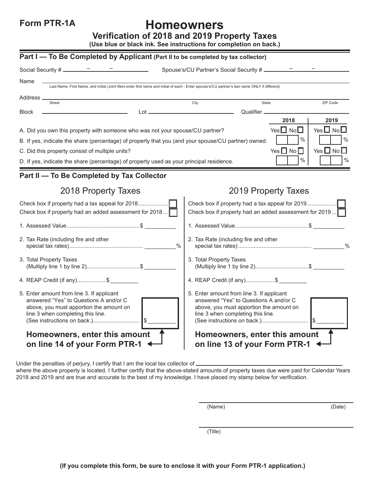**Form PTR-1A**

## **Homeowners**

**Verification of 2018 and 2019 Property Taxes**

**(Use blue or black ink. See instructions for completion on back.)**

| Part I – To Be Completed by Applicant (Part II to be completed by tax collector)                                                                                                                                                                                                                                                                                                                                                                                      |                                                                                                                                                                     |                                                          |
|-----------------------------------------------------------------------------------------------------------------------------------------------------------------------------------------------------------------------------------------------------------------------------------------------------------------------------------------------------------------------------------------------------------------------------------------------------------------------|---------------------------------------------------------------------------------------------------------------------------------------------------------------------|----------------------------------------------------------|
| Social Security # $\frac{\qquad -\qquad -\qquad -\qquad \qquad -\qquad \qquad -\qquad \qquad -\qquad \qquad -\qquad \qquad -\qquad \qquad -\qquad \qquad -\qquad \qquad -\qquad \qquad -\qquad \qquad -\qquad \qquad -\qquad \qquad -\qquad \qquad -\qquad \qquad -\qquad \qquad -\qquad \qquad -\qquad \qquad -\qquad \qquad -\qquad \qquad -\qquad \qquad -\qquad \qquad -\qquad \qquad -\qquad \qquad -\qquad \qquad -\qquad \qquad -\qquad \qquad -\qquad \qquad$ |                                                                                                                                                                     |                                                          |
| Name<br>Last Name, First Name, and Initial (Joint filers enter first name and initial of each - Enter spouse's/CU partner's last name ONLY if different)                                                                                                                                                                                                                                                                                                              |                                                                                                                                                                     |                                                          |
| Address <sub>–</sub>                                                                                                                                                                                                                                                                                                                                                                                                                                                  |                                                                                                                                                                     |                                                          |
| Street<br><b>Block</b>                                                                                                                                                                                                                                                                                                                                                                                                                                                | City<br>Qualifier _                                                                                                                                                 | ZIP Code<br>State                                        |
|                                                                                                                                                                                                                                                                                                                                                                                                                                                                       |                                                                                                                                                                     | 2018<br>2019                                             |
| A. Did you own this property with someone who was not your spouse/CU partner?                                                                                                                                                                                                                                                                                                                                                                                         |                                                                                                                                                                     | Yes $\square$ No $\square$<br>Yes $\square$ No $\square$ |
| B. If yes, indicate the share (percentage) of property that you (and your spouse/CU partner) owned.                                                                                                                                                                                                                                                                                                                                                                   |                                                                                                                                                                     | $\%$<br>$\%$                                             |
| C. Did this property consist of multiple units?                                                                                                                                                                                                                                                                                                                                                                                                                       |                                                                                                                                                                     | Yes $\square$ No $\square$<br>Yes $\Box$ No $\Box$       |
| D. If yes, indicate the share (percentage) of property used as your principal residence.                                                                                                                                                                                                                                                                                                                                                                              |                                                                                                                                                                     | $\%$<br>$\frac{0}{0}$                                    |
| Part II - To Be Completed by Tax Collector                                                                                                                                                                                                                                                                                                                                                                                                                            |                                                                                                                                                                     |                                                          |
| 2018 Property Taxes                                                                                                                                                                                                                                                                                                                                                                                                                                                   |                                                                                                                                                                     | 2019 Property Taxes                                      |
| Check box if property had an added assessment for 2018                                                                                                                                                                                                                                                                                                                                                                                                                |                                                                                                                                                                     | Check box if property had an added assessment for 2019   |
|                                                                                                                                                                                                                                                                                                                                                                                                                                                                       |                                                                                                                                                                     |                                                          |
| 2. Tax Rate (including fire and other                                                                                                                                                                                                                                                                                                                                                                                                                                 | 2. Tax Rate (including fire and other                                                                                                                               |                                                          |
| 3. Total Property Taxes<br>(Multiply line 1 by line 2)\$                                                                                                                                                                                                                                                                                                                                                                                                              | 3. Total Property Taxes                                                                                                                                             | (Multiply line 1 by line 2)\$                            |
| 4. REAP Credit (if any)\$                                                                                                                                                                                                                                                                                                                                                                                                                                             | 4. REAP Credit (if any)\$                                                                                                                                           |                                                          |
| 5. Enter amount from line 3. If applicant<br>answered "Yes" to Questions A and/or C<br>above, you must apportion the amount on<br>line 3 when completing this line.                                                                                                                                                                                                                                                                                                   | 5. Enter amount from line 3. If applicant<br>answered "Yes" to Questions A and/or C<br>above, you must apportion the amount on<br>line 3 when completing this line. |                                                          |
| Homeowners, enter this amount<br>on line 14 of your Form PTR-1                                                                                                                                                                                                                                                                                                                                                                                                        | Homeowners, enter this amount<br>on line 13 of your Form PTR-1                                                                                                      |                                                          |

Under the penalties of perjury, I certify that I am the local tax collector of  $\equiv$ 

where the above property is located. I further certify that the above-stated amounts of property taxes due were paid for Calendar Years 2018 and 2019 and are true and accurate to the best of my knowledge. I have placed my stamp below for verification.

(Name) (Date)

(Title)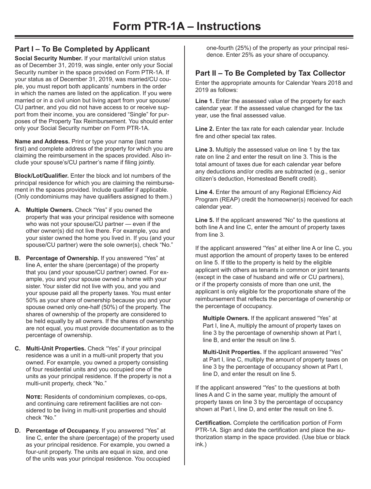#### **Part I – To Be Completed by Applicant**

**Social Security Number.** If your marital/civil union status as of December 31, 2019, was single, enter only your Social Security number in the space provided on Form PTR-1A. If your status as of December 31, 2019, was married/CU couple, you must report both applicants' numbers in the order in which the names are listed on the application. If you were married or in a civil union but living apart from your spouse/ CU partner, and you did not have access to or receive support from their income, you are considered "Single" for purposes of the Property Tax Reimbursement. You should enter only your Social Security number on Form PTR-1A.

**Name and Address.** Print or type your name (last name first) and complete address of the property for which you are claiming the reimbursement in the spaces provided. Also include your spouse's/CU partner's name if filing jointly.

**Block/Lot/Qualifier.** Enter the block and lot numbers of the principal residence for which you are claiming the reimbursement in the spaces provided. Include qualifier if applicable. (Only condominiums may have qualifiers assigned to them.)

- **A. Multiple Owners.** Check "Yes" if you owned the property that was your principal residence with someone who was not your spouse/CU partner — even if the other owner(s) did not live there. For example, you and your sister owned the home you lived in. If you (and your spouse/CU partner) were the sole owner(s), check "No."
- **B. Percentage of Ownership.** If you answered "Yes" at line A, enter the share (percentage) of the property that you (and your spouse/CU partner) owned. For example, you and your spouse owned a home with your sister. Your sister did not live with you, and you and your spouse paid all the property taxes. You must enter 50% as your share of ownership because you and your spouse owned only one-half (50%) of the property. The shares of ownership of the property are considered to be held equally by all owners. If the shares of ownership are not equal, you must provide documentation as to the percentage of ownership.
- **C. Multi-Unit Properties.** Check "Yes" if your principal residence was a unit in a multi-unit property that you owned. For example, you owned a property consisting of four residential units and you occupied one of the units as your principal residence. If the property is not a multi-unit property, check "No."

**NOTE:** Residents of condominium complexes, co-ops, and continuing care retirement facilities are not considered to be living in multi-unit properties and should check "No."

**D. Percentage of Occupancy.** If you answered "Yes" at line C, enter the share (percentage) of the property used as your principal residence. For example, you owned a four-unit property. The units are equal in size, and one of the units was your principal residence. You occupied

one-fourth (25%) of the property as your principal residence. Enter 25% as your share of occupancy.

#### **Part II – To Be Completed by Tax Collector**

Enter the appropriate amounts for Calendar Years 2018 and 2019 as follows:

**Line 1.** Enter the assessed value of the property for each calendar year. If the assessed value changed for the tax year, use the final assessed value.

**Line 2.** Enter the tax rate for each calendar year. Include fire and other special tax rates.

**Line 3.** Multiply the assessed value on line 1 by the tax rate on line 2 and enter the result on line 3. This is the total amount of taxes due for each calendar year before any deductions and/or credits are subtracted (e.g., senior citizen's deduction, Homestead Benefit credit).

**Line 4.** Enter the amount of any Regional Efficiency Aid Program (REAP) credit the homeowner(s) received for each calendar year.

**Line 5.** If the applicant answered "No" to the questions at both line A and line C, enter the amount of property taxes from line 3.

If the applicant answered "Yes" at either line A or line C, you must apportion the amount of property taxes to be entered on line 5. If title to the property is held by the eligible applicant with others as tenants in common or joint tenants (except in the case of husband and wife or CU partners), or if the property consists of more than one unit, the applicant is only eligible for the proportionate share of the reimbursement that reflects the percentage of ownership or the percentage of occupancy.

**Multiple Owners.** If the applicant answered "Yes" at Part I, line A, multiply the amount of property taxes on line 3 by the percentage of ownership shown at Part I, line B, and enter the result on line 5.

**Multi-Unit Properties.** If the applicant answered "Yes" at Part I, line C, multiply the amount of property taxes on line 3 by the percentage of occupancy shown at Part I, line D, and enter the result on line 5.

If the applicant answered "Yes" to the questions at both lines A and C in the same year, multiply the amount of property taxes on line 3 by the percentage of occupancy shown at Part I, line D, and enter the result on line 5.

**Certification.** Complete the certification portion of Form PTR-1A. Sign and date the certification and place the authorization stamp in the space provided. (Use blue or black ink.)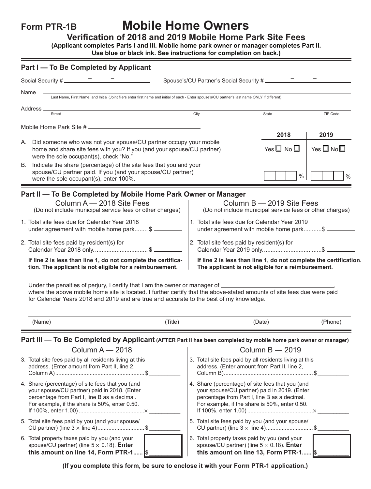## **Form PTR-1B Mobile Home Owners**

**Verification of 2018 and 2019 Mobile Home Park Site Fees** 

**(Applicant completes Parts I and III. Mobile home park owner or manager completes Part II. Use blue or black ink. See instructions for completion on back.)**

| Part I – To Be Completed by Applicant                                                                                                                                                                                                                                                                                               |                                                                                                                                                                                                   |                            |                                    |
|-------------------------------------------------------------------------------------------------------------------------------------------------------------------------------------------------------------------------------------------------------------------------------------------------------------------------------------|---------------------------------------------------------------------------------------------------------------------------------------------------------------------------------------------------|----------------------------|------------------------------------|
| Social Security # _____________                                                                                                                                                                                                                                                                                                     |                                                                                                                                                                                                   |                            |                                    |
| Name<br>Last Name, First Name, and Initial (Joint filers enter first name and initial of each - Enter spouse's/CU partner's last name ONLY if different)                                                                                                                                                                            |                                                                                                                                                                                                   |                            |                                    |
| Address _                                                                                                                                                                                                                                                                                                                           |                                                                                                                                                                                                   |                            |                                    |
| <b>Street</b>                                                                                                                                                                                                                                                                                                                       | City                                                                                                                                                                                              | State                      | ZIP Code                           |
|                                                                                                                                                                                                                                                                                                                                     |                                                                                                                                                                                                   |                            |                                    |
| A. Did someone who was not your spouse/CU partner occupy your mobile<br>home and share site fees with you? If you (and your spouse/CU partner)<br>were the sole occupant(s), check "No."                                                                                                                                            |                                                                                                                                                                                                   | 2018<br>$Yes \Box No \Box$ | 2019<br>Yes $\square$ No $\square$ |
| B. Indicate the share (percentage) of the site fees that you and your<br>spouse/CU partner paid. If you (and your spouse/CU partner)<br>were the sole occupant(s), enter 100%.                                                                                                                                                      |                                                                                                                                                                                                   | $\%$                       | $\frac{0}{0}$                      |
| Part II - To Be Completed by Mobile Home Park Owner or Manager                                                                                                                                                                                                                                                                      |                                                                                                                                                                                                   |                            |                                    |
| Column A - 2018 Site Fees<br>(Do not include municipal service fees or other charges)                                                                                                                                                                                                                                               | (Do not include municipal service fees or other charges)                                                                                                                                          | Column B - 2019 Site Fees  |                                    |
| 1. Total site fees due for Calendar Year 2018<br>under agreement with mobile home park \$                                                                                                                                                                                                                                           | 1. Total site fees due for Calendar Year 2019<br>under agreement with mobile home park\$                                                                                                          |                            |                                    |
| 2. Total site fees paid by resident(s) for<br>Calendar Year 2018 only\$                                                                                                                                                                                                                                                             | 2. Total site fees paid by resident(s) for                                                                                                                                                        |                            |                                    |
| If line 2 is less than line 1, do not complete the certifica-<br>tion. The applicant is not eligible for a reimbursement.                                                                                                                                                                                                           | If line 2 is less than line 1, do not complete the certification.<br>The applicant is not eligible for a reimbursement.                                                                           |                            |                                    |
| Under the penalties of perjury, I certify that I am the owner or manager of _________________________________<br>where the above mobile home site is located. I further certify that the above-stated amounts of site fees due were paid<br>for Calendar Years 2018 and 2019 and are true and accurate to the best of my knowledge. |                                                                                                                                                                                                   |                            |                                    |
| (Title)<br>(Name)                                                                                                                                                                                                                                                                                                                   |                                                                                                                                                                                                   | (Date)                     | (Phone)                            |
| Part III - To Be Completed by Applicant (AFTER Part II has been completed by mobile home park owner or manager)                                                                                                                                                                                                                     |                                                                                                                                                                                                   |                            |                                    |
| Column $A - 2018$                                                                                                                                                                                                                                                                                                                   |                                                                                                                                                                                                   | <b>Column B - 2019</b>     |                                    |
| 3. Total site fees paid by all residents living at this<br>address. (Enter amount from Part II, line 2,                                                                                                                                                                                                                             | 3. Total site fees paid by all residents living at this<br>address. (Enter amount from Part II, line 2,                                                                                           |                            |                                    |
| 4. Share (percentage) of site fees that you (and<br>your spouse/CU partner) paid in 2018. (Enter<br>percentage from Part I, line B as a decimal.<br>For example, if the share is 50%, enter 0.50.                                                                                                                                   | 4. Share (percentage) of site fees that you (and<br>your spouse/CU partner) paid in 2019. (Enter<br>percentage from Part I, line B as a decimal.<br>For example, if the share is 50%, enter 0.50. |                            |                                    |
| 5. Total site fees paid by you (and your spouse/<br>CU partner) (line $3 \times$ line 4)\$                                                                                                                                                                                                                                          | 5. Total site fees paid by you (and your spouse/<br>CU partner) (line $3 \times$ line 4)\$                                                                                                        |                            |                                    |
| 6. Total property taxes paid by you (and your<br>spouse/CU partner) (line $5 \times 0.18$ ). Enter<br>this amount on line 14, Form PTR-1 $\$                                                                                                                                                                                        | 6. Total property taxes paid by you (and your<br>spouse/CU partner) (line $5 \times 0.18$ ). Enter<br>this amount on line 13, Form PTR-1 $\$                                                      |                            |                                    |

**(If you complete this form, be sure to enclose it with your Form PTR-1 application.)**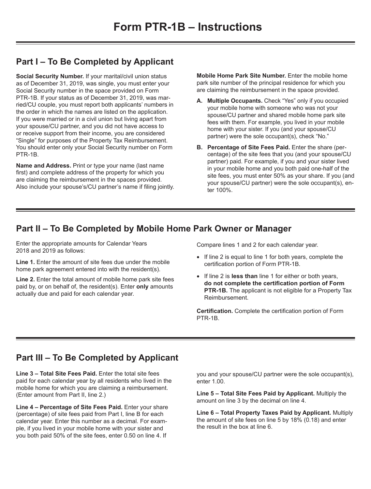## **Part I – To Be Completed by Applicant**

**Social Security Number.** If your marital/civil union status as of December 31, 2019, was single, you must enter your Social Security number in the space provided on Form PTR-1B. If your status as of December 31, 2019, was married/CU couple, you must report both applicants' numbers in the order in which the names are listed on the application. If you were married or in a civil union but living apart from your spouse/CU partner, and you did not have access to or receive support from their income, you are considered "Single" for purposes of the Property Tax Reimbursement. You should enter only your Social Security number on Form PTR-1B.

**Name and Address.** Print or type your name (last name first) and complete address of the property for which you are claiming the reimbursement in the spaces provided. Also include your spouse's/CU partner's name if filing jointly. **Mobile Home Park Site Number.** Enter the mobile home park site number of the principal residence for which you are claiming the reimbursement in the space provided.

- **A. Multiple Occupants.** Check "Yes" only if you occupied your mobile home with someone who was not your spouse/CU partner and shared mobile home park site fees with them. For example, you lived in your mobile home with your sister. If you (and your spouse/CU partner) were the sole occupant(s), check "No."
- **B. Percentage of Site Fees Paid.** Enter the share (percentage) of the site fees that you (and your spouse/CU partner) paid. For example, if you and your sister lived in your mobile home and you both paid one-half of the site fees, you must enter 50% as your share. If you (and your spouse/CU partner) were the sole occupant(s), enter 100%.

### **Part II – To Be Completed by Mobile Home Park Owner or Manager**

Enter the appropriate amounts for Calendar Years 2018 and 2019 as follows:

Line 1. Enter the amount of site fees due under the mobile home park agreement entered into with the resident(s).

**Line 2.** Enter the total amount of mobile home park site fees paid by, or on behalf of, the resident(s). Enter **only** amounts actually due and paid for each calendar year.

Compare lines 1 and 2 for each calendar year.

- If line 2 is equal to line 1 for both years, complete the certification portion of Form PTR-1B.
- If line 2 is **less than** line 1 for either or both years, **do not complete the certification portion of Form PTR-1B.** The applicant is not eligible for a Property Tax Reimbursement.

**Certification.** Complete the certification portion of Form PTR-1B.

## **Part III – To Be Completed by Applicant**

**Line 3 – Total Site Fees Paid.** Enter the total site fees paid for each calendar year by all residents who lived in the mobile home for which you are claiming a reimbursement. (Enter amount from Part II, line 2.)

Line 4 - Percentage of Site Fees Paid. Enter your share (percentage) of site fees paid from Part I, line B for each calendar year. Enter this number as a decimal. For example, if you lived in your mobile home with your sister and you both paid 50% of the site fees, enter 0.50 on line 4. If

you and your spouse/CU partner were the sole occupant(s), enter 1.00.

**Line 5 – Total Site Fees Paid by Applicant.** Multiply the amount on line 3 by the decimal on line 4.

**Line 6 – Total Property Taxes Paid by Applicant.** Multiply the amount of site fees on line 5 by 18% (0.18) and enter the result in the box at line 6.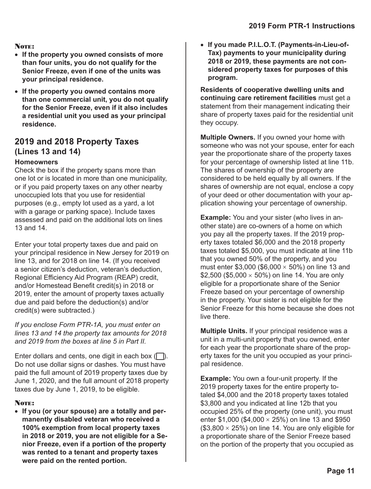#### **Note:**

- **If the property you owned consists of more than four units, you do not qualify for the Senior Freeze, even if one of the units was your principal residence.**
- **If the property you owned contains more than one commercial unit, you do not qualify for the Senior Freeze, even if it also includes a residential unit you used as your principal residence.**

## **2019 and 2018 Property Taxes (Lines 13 and 14)**

#### **Homeowners**

Check the box if the property spans more than one lot or is located in more than one municipality, or if you paid property taxes on any other nearby unoccupied lots that you use for residential purposes (e.g., empty lot used as a yard, a lot with a garage or parking space). Include taxes assessed and paid on the additional lots on lines 13 and 14.

Enter your total property taxes due and paid on your principal residence in New Jersey for 2019 on line 13, and for 2018 on line 14. (If you received a senior citizen's deduction, veteran's deduction, Regional Efficiency Aid Program (REAP) credit, and/or Homestead Benefit credit(s) in 2018 or 2019, enter the amount of property taxes actually due and paid before the deduction(s) and/or credit(s) were subtracted.)

*If you enclose Form PTR-1A, you must enter on lines 13 and 14 the property tax amounts for 2018 and 2019 from the boxes at line 5 in Part II.*

Enter dollars and cents, one digit in each box  $(\Box)$ . Do not use dollar signs or dashes. You must have paid the full amount of 2019 property taxes due by June 1, 2020, and the full amount of 2018 property taxes due by June 1, 2019, to be eligible.

#### **Note:**

• **If you (or your spouse) are a totally and permanently disabled veteran who received a 100% exemption from local property taxes in 2018 or 2019, you are not eligible for a Senior Freeze, even if a portion of the property was rented to a tenant and property taxes were paid on the rented portion.**

• **If you made P.I.L.O.T. (Payments-in-Lieu-of-Tax) payments to your municipality during 2018 or 2019, these payments are not considered property taxes for purposes of this program.**

**Residents of cooperative dwelling units and continuing care retirement facilities** must get a statement from their management indicating their share of property taxes paid for the residential unit they occupy.

**Multiple Owners.** If you owned your home with someone who was not your spouse, enter for each year the proportionate share of the property taxes for your percentage of ownership listed at line 11b. The shares of ownership of the property are considered to be held equally by all owners. If the shares of ownership are not equal, enclose a copy of your deed or other documentation with your application showing your percentage of ownership.

**Example:** You and your sister (who lives in another state) are co-owners of a home on which you pay all the property taxes. If the 2019 property taxes totaled \$6,000 and the 2018 property taxes totaled \$5,000, you must indicate at line 11b that you owned 50% of the property, and you must enter \$3,000 (\$6,000  $\times$  50%) on line 13 and \$2,500 (\$5,000  $\times$  50%) on line 14. You are only eligible for a proportionate share of the Senior Freeze based on your percentage of ownership in the property. Your sister is not eligible for the Senior Freeze for this home because she does not live there.

**Multiple Units.** If your principal residence was a unit in a multi-unit property that you owned, enter for each year the proportionate share of the property taxes for the unit you occupied as your principal residence.

**Example:** You own a four-unit property. If the 2019 property taxes for the entire property totaled \$4,000 and the 2018 property taxes totaled \$3,800 and you indicated at line 12b that you occupied 25% of the property (one unit), you must enter \$1,000 (\$4,000  $\times$  25%) on line 13 and \$950  $($3,800 \times 25\%)$  on line 14. You are only eligible for a proportionate share of the Senior Freeze based on the portion of the property that you occupied as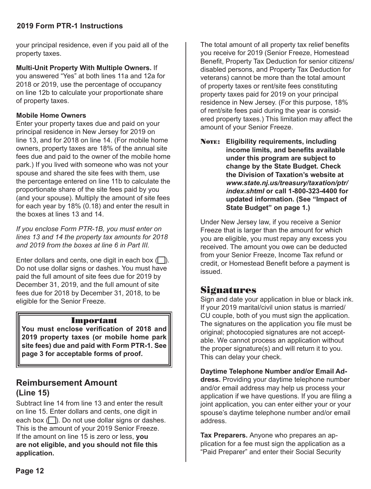your principal residence, even if you paid all of the property taxes.

**Multi-Unit Property With Multiple Owners.** If you answered "Yes" at both lines 11a and 12a for 2018 or 2019, use the percentage of occupancy on line 12b to calculate your proportionate share of property taxes.

#### **Mobile Home Owners**

Enter your property taxes due and paid on your principal residence in New Jersey for 2019 on line 13, and for 2018 on line 14. (For mobile home owners, property taxes are 18% of the annual site fees due and paid to the owner of the mobile home park.) If you lived with someone who was not your spouse and shared the site fees with them, use the percentage entered on line 11b to calculate the proportionate share of the site fees paid by you (and your spouse). Multiply the amount of site fees for each year by 18% (0.18) and enter the result in the boxes at lines 13 and 14.

*If you enclose Form PTR-1B, you must enter on lines 13 and 14 the property tax amounts for 2018 and 2019 from the boxes at line 6 in Part III.* 

Enter dollars and cents, one digit in each box  $\Box$ ). Do not use dollar signs or dashes. You must have paid the full amount of site fees due for 2019 by December 31, 2019, and the full amount of site fees due for 2018 by December 31, 2018, to be eligible for the Senior Freeze.

#### **Important**

**You must enclose verification of 2018 and 2019 property taxes (or mobile home park site fees) due and paid with Form PTR-1. See page 3 for acceptable forms of proof.**

### **Reimbursement Amount (Line 15)**

Subtract line 14 from line 13 and enter the result on line 15. Enter dollars and cents, one digit in each box  $\Box$ ). Do not use dollar signs or dashes. This is the amount of your 2019 Senior Freeze. If the amount on line 15 is zero or less, **you are not eligible, and you should not file this application.**

The total amount of all property tax relief benefits you receive for 2019 (Senior Freeze, Homestead Benefit, Property Tax Deduction for senior citizens/ disabled persons, and Property Tax Deduction for veterans) cannot be more than the total amount of property taxes or rent/site fees constituting property taxes paid for 2019 on your principal residence in New Jersey. (For this purpose, 18% of rent/site fees paid during the year is considered property taxes.) This limitation may affect the amount of your Senior Freeze.

**Note:** Eligibility requirements, including **income limits, and benefits available under this program are subject to change by the State Budget. Check the Division of Taxation's website at**  *www.state.nj.us/treasury/taxation/ptr/ index.shtml* **or call 1-800-323-4400 for updated information. (See "Impact of State Budget" on page 1.)**

Under New Jersey law, if you receive a Senior Freeze that is larger than the amount for which you are eligible, you must repay any excess you received. The amount you owe can be deducted from your Senior Freeze, Income Tax refund or credit, or Homestead Benefit before a payment is issued.

## **Signatures**

Sign and date your application in blue or black ink. If your 2019 marital/civil union status is married/ CU couple, both of you must sign the application. The signatures on the application you file must be original; photocopied signatures are not acceptable. We cannot process an application without the proper signature(s) and will return it to you. This can delay your check.

#### **Daytime Telephone Number and/or Email Ad-**

**dress.** Providing your daytime telephone number and/or email address may help us process your application if we have questions. If you are filing a joint application, you can enter either your or your spouse's daytime telephone number and/or email address.

**Tax Preparers.** Anyone who prepares an application for a fee must sign the application as a "Paid Preparer" and enter their Social Security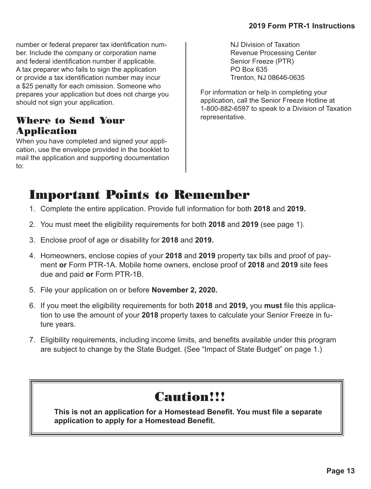number or federal preparer tax identification number. Include the company or corporation name and federal identification number if applicable. A tax preparer who fails to sign the application or provide a tax identification number may incur a \$25 penalty for each omission. Someone who prepares your application but does not charge you should not sign your application.

## **Where to Send Your Application**

When you have completed and signed your application, use the envelope provided in the booklet to mail the application and supporting documentation to:

NJ Division of Taxation Revenue Processing Center Senior Freeze (PTR) PO Box 635 Trenton, NJ 08646-0635

For information or help in completing your application, call the Senior Freeze Hotline at 1-800-882-6597 to speak to a Division of Taxation representative.

## **Important Points to Remember**

- 1. Complete the entire application. Provide full information for both **2018** and **2019.**
- 2. You must meet the eligibility requirements for both **2018** and **2019** (see page 1).
- 3. Enclose proof of age or disability for **2018** and **2019.**
- 4. Homeowners, enclose copies of your **2018** and **2019** property tax bills and proof of payment **or** Form PTR-1A. Mobile home owners, enclose proof of **2018** and **2019** site fees due and paid **or** Form PTR-1B.
- 5. File your application on or before **November 2, 2020.**
- 6. If you meet the eligibility requirements for both **2018** and **2019,** you **must** file this application to use the amount of your **2018** property taxes to calculate your Senior Freeze in future years.
- 7. Eligibility requirements, including income limits, and benefits available under this program are subject to change by the State Budget. (See "Impact of State Budget" on page 1.)

## **Caution!!!**

**This is not an application for a Homestead Benefit. You must file a separate application to apply for a Homestead Benefit.**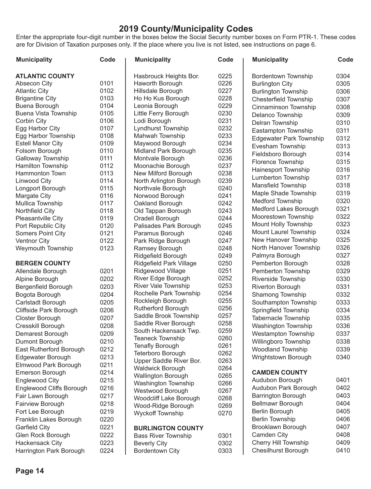| <b>Municipality</b>         | Code | <b>Municipality</b>        | Code | <b>Municipality</b>            | Code |
|-----------------------------|------|----------------------------|------|--------------------------------|------|
| <b>ATLANTIC COUNTY</b>      |      | Hasbrouck Heights Bor.     | 0225 | <b>Bordentown Township</b>     | 0304 |
| Absecon City                | 0101 | Haworth Borough            | 0226 | <b>Burlington City</b>         | 0305 |
| <b>Atlantic City</b>        | 0102 | Hillsdale Borough          | 0227 | <b>Burlington Township</b>     | 0306 |
| <b>Brigantine City</b>      | 0103 | Ho Ho Kus Borough          | 0228 | <b>Chesterfield Township</b>   | 0307 |
| <b>Buena Borough</b>        | 0104 | Leonia Borough             | 0229 | Cinnaminson Township           | 0308 |
| <b>Buena Vista Township</b> | 0105 | Little Ferry Borough       | 0230 | Delanco Township               | 0309 |
| Corbin City                 | 0106 | Lodi Borough               | 0231 | Delran Township                | 0310 |
| Egg Harbor City             | 0107 | <b>Lyndhurst Township</b>  | 0232 | Eastampton Township            | 0311 |
| Egg Harbor Township         | 0108 | Mahwah Township            | 0233 | <b>Edgewater Park Township</b> | 0312 |
| <b>Estell Manor City</b>    | 0109 | Maywood Borough            | 0234 | Evesham Township               | 0313 |
| Folsom Borough              | 0110 | Midland Park Borough       | 0235 | Fieldsboro Borough             | 0314 |
| Galloway Township           | 0111 | Montvale Borough           | 0236 | Florence Township              | 0315 |
| Hamilton Township           | 0112 | Moonachie Borough          | 0237 | Hainesport Township            | 0316 |
| <b>Hammonton Town</b>       | 0113 | New Milford Borough        | 0238 |                                | 0317 |
| <b>Linwood City</b>         | 0114 | North Arlington Borough    | 0239 | <b>Lumberton Township</b>      |      |
| Longport Borough            | 0115 | Northvale Borough          | 0240 | <b>Mansfield Township</b>      | 0318 |
| Margate City                | 0116 | Norwood Borough            | 0241 | Maple Shade Township           | 0319 |
| Mullica Township            | 0117 | Oakland Borough            | 0242 | <b>Medford Township</b>        | 0320 |
| Northfield City             | 0118 | Old Tappan Borough         | 0243 | Medford Lakes Borough          | 0321 |
| Pleasantville City          | 0119 | Oradell Borough            | 0244 | Moorestown Township            | 0322 |
| Port Republic City          | 0120 | Palisades Park Borough     | 0245 | <b>Mount Holly Township</b>    | 0323 |
| <b>Somers Point City</b>    | 0121 | Paramus Borough            | 0246 | Mount Laurel Township          | 0324 |
| <b>Ventnor City</b>         | 0122 | Park Ridge Borough         | 0247 | New Hanover Township           | 0325 |
| Weymouth Township           | 0123 | Ramsey Borough             | 0248 | North Hanover Township         | 0326 |
|                             |      | Ridgefield Borough         | 0249 | Palmyra Borough                | 0327 |
| <b>BERGEN COUNTY</b>        |      | Ridgefield Park Village    | 0250 | Pemberton Borough              | 0328 |
| Allendale Borough           | 0201 | Ridgewood Village          | 0251 | Pemberton Township             | 0329 |
| Alpine Borough              | 0202 | River Edge Borough         | 0252 | Riverside Township             | 0330 |
| Bergenfield Borough         | 0203 | <b>River Vale Township</b> | 0253 | Riverton Borough               | 0331 |
| Bogota Borough              | 0204 | Rochelle Park Township     | 0254 | Shamong Township               | 0332 |
| Carlstadt Borough           | 0205 | Rockleigh Borough          | 0255 | Southampton Township           | 0333 |
| Cliffside Park Borough      | 0206 | <b>Rutherford Borough</b>  | 0256 | Springfield Township           | 0334 |
| Closter Borough             | 0207 | Saddle Brook Township      | 0257 | Tabernacle Township            | 0335 |
| Cresskill Borough           | 0208 | Saddle River Borough       | 0258 | Washington Township            | 0336 |
| Demarest Borough            | 0209 | South Hackensack Twp.      | 0259 | Westampton Township            | 0337 |
| Dumont Borough              | 0210 | <b>Teaneck Township</b>    | 0260 | Willingboro Township           | 0338 |
| East Rutherford Borough     | 0212 | <b>Tenafly Borough</b>     | 0261 | <b>Woodland Township</b>       | 0339 |
| Edgewater Borough           | 0213 | Teterboro Borough          | 0262 | Wrightstown Borough            | 0340 |
| Elmwood Park Borough        | 0211 | Upper Saddle River Bor.    | 0263 |                                |      |
| Emerson Borough             | 0214 | Waldwick Borough           | 0264 | <b>CAMDEN COUNTY</b>           |      |
| <b>Englewood City</b>       | 0215 | <b>Wallington Borough</b>  | 0265 | Audubon Borough                | 0401 |
| Englewood Cliffs Borough    | 0216 | Washington Township        | 0266 | Audubon Park Borough           | 0402 |
| Fair Lawn Borough           | 0217 | Westwood Borough           | 0267 | Barrington Borough             | 0403 |
| Fairview Borough            | 0218 | Woodcliff Lake Borough     | 0268 | <b>Bellmawr Borough</b>        | 0404 |
| Fort Lee Borough            | 0219 | Wood-Ridge Borough         | 0269 | Berlin Borough                 | 0405 |
|                             |      | <b>Wyckoff Township</b>    | 0270 | <b>Berlin Township</b>         | 0406 |
| Franklin Lakes Borough      | 0220 |                            |      |                                | 0407 |
| <b>Garfield City</b>        | 0221 | <b>BURLINGTON COUNTY</b>   |      | Brooklawn Borough              |      |
| Glen Rock Borough           | 0222 | <b>Bass River Township</b> | 0301 | Camden City                    | 0408 |
| Hackensack City             | 0223 | <b>Beverly City</b>        | 0302 | Cherry Hill Township           | 0409 |
| Harrington Park Borough     | 0224 | <b>Bordentown City</b>     | 0303 | Chesilhurst Borough            | 0410 |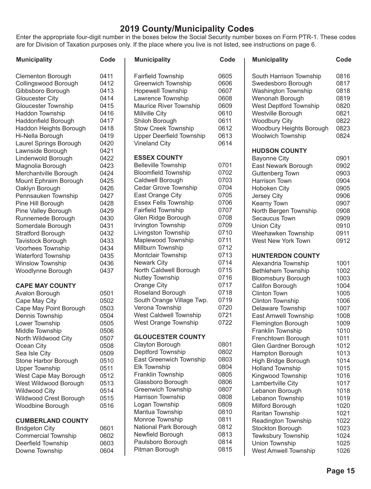| 0411<br><b>Fairfield Township</b><br>0605<br>South Harrison Township<br><b>Clementon Borough</b> | 0816 |
|--------------------------------------------------------------------------------------------------|------|
|                                                                                                  |      |
| 0412<br><b>Greenwich Township</b><br>0606<br>Swedesboro Borough<br>Collingswood Borough          | 0817 |
| Gibbsboro Borough<br>0413<br><b>Hopewell Township</b><br><b>Washington Township</b><br>0607      | 0818 |
| 0414<br>Lawrence Township<br>0608<br>Wenonah Borough<br><b>Gloucester City</b>                   | 0819 |
| 0415<br>Maurice River Township<br>0609<br>West Deptford Township<br><b>Gloucester Township</b>   | 0820 |
| Haddon Township<br>0416<br>0610<br>Westville Borough<br>Millville City                           | 0821 |
| Haddonfield Borough<br>0417<br>Shiloh Borough<br>0611<br><b>Woodbury City</b>                    | 0822 |
| Haddon Heights Borough<br>0418<br><b>Stow Creek Township</b><br>0612<br>Woodbury Heights Borough | 0823 |
| 0419<br><b>Upper Deerfield Township</b><br>0613<br><b>Woolwich Township</b><br>Hi-Nella Borough  | 0824 |
| Laurel Springs Borough<br>0420<br>0614<br><b>Vineland City</b>                                   |      |
| Lawnside Borough<br>0421<br><b>HUDSON COUNTY</b>                                                 |      |
| <b>ESSEX COUNTY</b><br>Lindenwold Borough<br>0422<br><b>Bayonne City</b>                         | 0901 |
| 0701<br><b>Belleville Township</b><br>0423<br>East Newark Borough<br>Magnolia Borough            | 0902 |
| <b>Bloomfield Township</b><br>0702<br>Merchantville Borough<br>0424<br><b>Guttenberg Town</b>    | 0903 |
| 0703<br>Caldwell Borough<br>Mount Ephraim Borough<br>0425<br><b>Harrison Town</b>                | 0904 |
| Cedar Grove Township<br>0704<br>Oaklyn Borough<br>0426<br>Hoboken City                           | 0905 |
| East Orange City<br>0705<br>Pennsauken Township<br>0427<br>Jersey City                           | 0906 |
| <b>Essex Fells Township</b><br>0706<br>0428<br>Kearny Town<br>Pine Hill Borough                  | 0907 |
| Fairfield Township<br>0707<br>0429<br>North Bergen Township<br>Pine Valley Borough               | 0908 |
| Glen Ridge Borough<br>0708<br>Runnemede Borough<br>0430<br>Secaucus Town                         | 0909 |
| Irvington Township<br>0709<br>0431<br><b>Union City</b><br>Somerdale Borough                     | 0910 |
| Livingston Township<br>0710<br>0432<br>Weehawken Township<br><b>Stratford Borough</b>            | 0911 |
| Maplewood Township<br>0711<br>0433<br>West New York Town<br><b>Tavistock Borough</b>             | 0912 |
| 0712<br>Millburn Township<br>Voorhees Township<br>0434                                           |      |
| Montclair Township<br>0713<br><b>Waterford Township</b><br>0435<br><b>HUNTERDON COUNTY</b>       |      |
| 0714<br><b>Newark City</b><br><b>Winslow Township</b><br>0436<br>Alexandria Township             | 1001 |
| 0715<br>North Caldwell Borough<br>0437<br><b>Bethlehem Township</b><br>Woodlynne Borough         | 1002 |
| Nutley Township<br>0716<br><b>Bloomsbury Borough</b>                                             | 1003 |
| 0717<br>Orange City<br><b>CAPE MAY COUNTY</b><br>Califon Borough                                 | 1004 |
| Roseland Borough<br>0718<br>0501<br><b>Clinton Town</b><br>Avalon Borough                        | 1005 |
| South Orange Village Twp.<br>0719<br>0502<br><b>Clinton Township</b><br>Cape May City            | 1006 |
| 0720<br>Verona Township<br>Cape May Point Borough<br>0503<br>Delaware Township                   | 1007 |
| 0721<br><b>West Caldwell Township</b><br>Dennis Township<br>0504<br>East Amwell Township         | 1008 |
| 0722<br>West Orange Township<br>Lower Township<br>0505<br>Flemington Borough                     | 1009 |
| 0506<br>Franklin Township<br>Middle Township                                                     | 1010 |
| <b>GLOUCESTER COUNTY</b><br>0507<br>North Wildwood City<br>Frenchtown Borough                    | 1011 |
| 0801<br>Clayton Borough<br>0508<br>Glen Gardner Borough<br>Ocean City                            | 1012 |
| Deptford Township<br>0802<br>0509<br>Hampton Borough<br>Sea Isle City                            | 1013 |
| East Greenwich Township<br>0803<br>Stone Harbor Borough<br>0510<br>High Bridge Borough           | 1014 |
| <b>Elk Township</b><br>0804<br><b>Upper Township</b><br>0511<br><b>Holland Township</b>          | 1015 |
| Franklin Township<br>0805<br>West Cape May Borough<br>0512<br>Kingwood Township                  | 1016 |
| Glassboro Borough<br>0806<br>West Wildwood Borough<br>0513<br>Lambertville City                  | 1017 |
| <b>Greenwich Township</b><br>0807<br><b>Wildwood City</b><br>0514<br>Lebanon Borough             | 1018 |
| Harrison Township<br>0808<br>Wildwood Crest Borough<br>0515<br>Lebanon Township                  | 1019 |
| Logan Township<br>0809<br>0516<br>Milford Borough<br>Woodbine Borough                            | 1020 |
| Mantua Township<br>0810<br>Raritan Township                                                      | 1021 |
| Monroe Township<br>0811<br>Readington Township<br><b>CUMBERLAND COUNTY</b>                       | 1022 |
| National Park Borough<br>0812<br>0601<br>Stockton Borough<br><b>Bridgeton City</b>               | 1023 |
| Newfield Borough<br>0813<br><b>Commercial Township</b><br>0602<br><b>Tewksbury Township</b>      | 1024 |
| Paulsboro Borough<br>0814<br>Union Township<br>Deerfield Township<br>0603                        | 1025 |
| Pitman Borough<br>0815<br>Downe Township<br><b>West Amwell Township</b><br>0604                  | 1026 |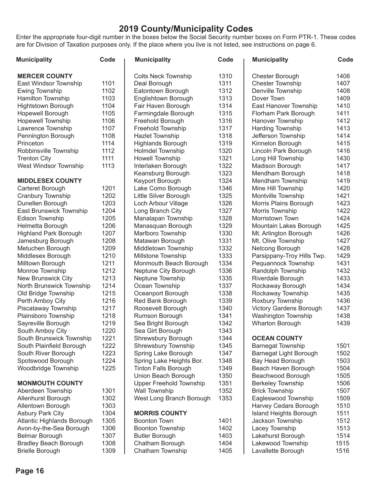| <b>Municipality</b>          | Code | <b>Municipality</b>            | Code | <b>Municipality</b>           | Code |
|------------------------------|------|--------------------------------|------|-------------------------------|------|
| <b>MERCER COUNTY</b>         |      | <b>Colts Neck Township</b>     | 1310 | Chester Borough               | 1406 |
| East Windsor Township        | 1101 | Deal Borough                   | 1311 | <b>Chester Township</b>       | 1407 |
| <b>Ewing Township</b>        | 1102 | Eatontown Borough              | 1312 | Denville Township             | 1408 |
| <b>Hamilton Township</b>     | 1103 | Englishtown Borough            | 1313 | Dover Town                    | 1409 |
| Hightstown Borough           | 1104 | Fair Haven Borough             | 1314 | East Hanover Township         | 1410 |
| Hopewell Borough             | 1105 | Farmingdale Borough            | 1315 | Florham Park Borough          | 1411 |
| <b>Hopewell Township</b>     | 1106 | Freehold Borough               | 1316 | Hanover Township              | 1412 |
| Lawrence Township            | 1107 | <b>Freehold Township</b>       | 1317 | Harding Township              | 1413 |
| Pennington Borough           | 1108 | Hazlet Township                | 1318 | Jefferson Township            | 1414 |
| Princeton                    | 1114 | Highlands Borough              | 1319 | Kinnelon Borough              | 1415 |
| Robbinsville Township        | 1112 | <b>Holmdel Township</b>        | 1320 | Lincoln Park Borough          | 1416 |
| <b>Trenton City</b>          | 1111 | <b>Howell Township</b>         | 1321 | Long Hill Township            | 1430 |
| West Windsor Township        | 1113 | Interlaken Borough             | 1322 | Madison Borough               | 1417 |
|                              |      | Keansburg Borough              | 1323 | Mendham Borough               | 1418 |
| <b>MIDDLESEX COUNTY</b>      |      | Keyport Borough                | 1324 | Mendham Township              | 1419 |
| Carteret Borough             | 1201 | Lake Como Borough              | 1346 | Mine Hill Township            | 1420 |
| Cranbury Township            | 1202 | Little Silver Borough          | 1325 | Montville Township            | 1421 |
| Dunellen Borough             | 1203 | Loch Arbour Village            | 1326 | Morris Plains Borough         | 1423 |
| East Brunswick Township      | 1204 | Long Branch City               | 1327 | Morris Township               | 1422 |
| <b>Edison Township</b>       | 1205 | Manalapan Township             | 1328 | Morristown Town               | 1424 |
| Helmetta Borough             | 1206 | Manasquan Borough              | 1329 | Mountain Lakes Borough        | 1425 |
| <b>Highland Park Borough</b> | 1207 | Marlboro Township              | 1330 | Mt. Arlington Borough         | 1426 |
| Jamesburg Borough            | 1208 | Matawan Borough                | 1331 | Mt. Olive Township            | 1427 |
| Metuchen Borough             | 1209 | Middletown Township            | 1332 | Netcong Borough               | 1428 |
| Middlesex Borough            | 1210 | Millstone Township             | 1333 | Parsippany-Troy Hills Twp.    | 1429 |
| Milltown Borough             | 1211 | Monmouth Beach Borough         | 1334 | Pequannock Township           | 1431 |
| Monroe Township              | 1212 | Neptune City Borough           | 1336 | Randolph Township             | 1432 |
| New Brunswick City           | 1213 | Neptune Township               | 1335 | Riverdale Borough             | 1433 |
| North Brunswick Township     | 1214 | Ocean Township                 | 1337 | Rockaway Borough              | 1434 |
| Old Bridge Township          | 1215 | Oceanport Borough              | 1338 | Rockaway Township             | 1435 |
| Perth Amboy City             | 1216 | Red Bank Borough               | 1339 | Roxbury Township              | 1436 |
| Piscataway Township          | 1217 | Roosevelt Borough              | 1340 | Victory Gardens Borough       | 1437 |
| Plainsboro Township          | 1218 | Rumson Borough                 | 1341 | Washington Township           | 1438 |
| Sayreville Borough           | 1219 | Sea Bright Borough             | 1342 | <b>Wharton Borough</b>        | 1439 |
| South Amboy City             | 1220 | Sea Girt Borough               | 1343 |                               |      |
| South Brunswick Township     | 1221 | Shrewsbury Borough             | 1344 | <b>OCEAN COUNTY</b>           |      |
| South Plainfield Borough     | 1222 | Shrewsbury Township            | 1345 | <b>Barnegat Township</b>      | 1501 |
| South River Borough          | 1223 | Spring Lake Borough            | 1347 | <b>Barnegat Light Borough</b> | 1502 |
| Spotswood Borough            | 1224 | Spring Lake Heights Bor.       | 1348 | <b>Bay Head Borough</b>       | 1503 |
| Woodbridge Township          | 1225 | <b>Tinton Falls Borough</b>    | 1349 | Beach Haven Borough           | 1504 |
|                              |      | Union Beach Borough            | 1350 | Beachwood Borough             | 1505 |
| <b>MONMOUTH COUNTY</b>       |      | <b>Upper Freehold Township</b> | 1351 | <b>Berkeley Township</b>      | 1506 |
| Aberdeen Township            | 1301 | Wall Township                  | 1352 | <b>Brick Township</b>         | 1507 |
| Allenhurst Borough           | 1302 | West Long Branch Borough       | 1353 | Eagleswood Township           | 1509 |
| Allentown Borough            | 1303 |                                |      | Harvey Cedars Borough         | 1510 |
| <b>Asbury Park City</b>      | 1304 | <b>MORRIS COUNTY</b>           |      | Island Heights Borough        | 1511 |
| Atlantic Highlands Borough   | 1305 | <b>Boonton Town</b>            | 1401 | Jackson Township              | 1512 |
| Avon-by-the-Sea Borough      | 1306 | <b>Boonton Township</b>        | 1402 | Lacey Township                | 1513 |
| Belmar Borough               | 1307 | <b>Butler Borough</b>          | 1403 | Lakehurst Borough             | 1514 |
| <b>Bradley Beach Borough</b> | 1308 | Chatham Borough                | 1404 | Lakewood Township             | 1515 |
| <b>Brielle Borough</b>       | 1309 | Chatham Township               | 1405 | Lavallette Borough            | 1516 |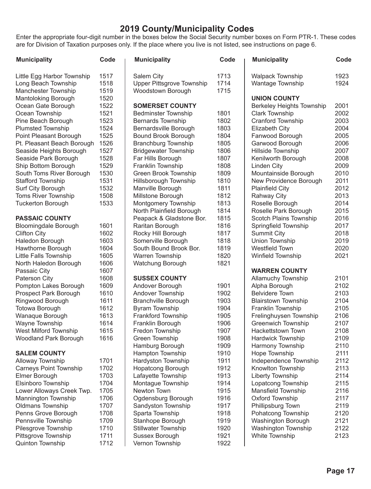| <b>Municipality</b>               | Code         | <b>Municipality</b>                 | Code | <b>Municipality</b>                    | Code         |
|-----------------------------------|--------------|-------------------------------------|------|----------------------------------------|--------------|
| Little Egg Harbor Township        | 1517         | Salem City                          | 1713 | <b>Walpack Township</b>                | 1923         |
| Long Beach Township               | 1518         | Upper Pittsgrove Township           | 1714 | Wantage Township                       | 1924         |
| Manchester Township               | 1519         | Woodstown Borough                   | 1715 |                                        |              |
| <b>Mantoloking Borough</b>        | 1520         |                                     |      | <b>UNION COUNTY</b>                    |              |
| Ocean Gate Borough                | 1522         | <b>SOMERSET COUNTY</b>              |      | <b>Berkeley Heights Township</b>       | 2001         |
| Ocean Township                    | 1521         | <b>Bedminster Township</b>          | 1801 | <b>Clark Township</b>                  | 2002         |
| Pine Beach Borough                | 1523         | <b>Bernards Township</b>            | 1802 | <b>Cranford Township</b>               | 2003         |
| <b>Plumsted Township</b>          | 1524         | Bernardsville Borough               | 1803 | <b>Elizabeth City</b>                  | 2004         |
| Point Pleasant Borough            | 1525         | <b>Bound Brook Borough</b>          | 1804 | Fanwood Borough                        | 2005         |
| Pt. Pleasant Beach Borough        | 1526         | <b>Branchburg Township</b>          | 1805 | Garwood Borough                        | 2006         |
| Seaside Heights Borough           | 1527         | <b>Bridgewater Township</b>         | 1806 | Hillside Township                      | 2007         |
| Seaside Park Borough              | 1528         | Far Hills Borough                   | 1807 | Kenilworth Borough                     | 2008         |
| Ship Bottom Borough               | 1529         | Franklin Township                   | 1808 | <b>Linden City</b>                     | 2009         |
| South Toms River Borough          | 1530         | Green Brook Township                | 1809 | Mountainside Borough                   | 2010         |
| <b>Stafford Township</b>          | 1531         | Hillsborough Township               | 1810 | New Providence Borough                 | 2011         |
| <b>Surf City Borough</b>          | 1532         | Manville Borough                    | 1811 | <b>Plainfield City</b>                 | 2012         |
| <b>Toms River Township</b>        | 1508         | Millstone Borough                   | 1812 | <b>Rahway City</b>                     | 2013         |
| <b>Tuckerton Borough</b>          | 1533         | Montgomery Township                 | 1813 | Roselle Borough                        | 2014         |
|                                   |              | North Plainfield Borough            | 1814 | Roselle Park Borough                   | 2015         |
| <b>PASSAIC COUNTY</b>             |              | Peapack & Gladstone Bor.            | 1815 | Scotch Plains Township                 | 2016         |
| <b>Bloomingdale Borough</b>       | 1601         | Raritan Borough                     | 1816 | Springfield Township                   | 2017         |
| <b>Clifton City</b>               | 1602         | Rocky Hill Borough                  | 1817 | <b>Summit City</b>                     | 2018         |
| Haledon Borough                   | 1603         | Somerville Borough                  | 1818 | Union Township                         | 2019         |
| Hawthorne Borough                 | 1604         | South Bound Brook Bor.              | 1819 | <b>Westfield Town</b>                  | 2020         |
| Little Falls Township             | 1605         | Warren Township                     | 1820 | Winfield Township                      | 2021         |
| North Haledon Borough             | 1606         | Watchung Borough                    | 1821 |                                        |              |
| Passaic City                      | 1607         |                                     |      | <b>WARREN COUNTY</b>                   |              |
| Paterson City                     | 1608         | <b>SUSSEX COUNTY</b>                | 1901 | <b>Allamuchy Township</b>              | 2101<br>2102 |
| Pompton Lakes Borough             | 1609<br>1610 | Andover Borough<br>Andover Township | 1902 | Alpha Borough<br><b>Belvidere Town</b> | 2103         |
| Prospect Park Borough             | 1611         | <b>Branchville Borough</b>          | 1903 | <b>Blairstown Township</b>             | 2104         |
| Ringwood Borough                  | 1612         | <b>Byram Township</b>               | 1904 | Franklin Township                      | 2105         |
| Totowa Borough<br>Wanaque Borough | 1613         | Frankford Township                  | 1905 | Frelinghuysen Township                 | 2106         |
| Wayne Township                    | 1614         | Franklin Borough                    | 1906 | <b>Greenwich Township</b>              | 2107         |
| <b>West Milford Township</b>      | 1615         | Fredon Township                     | 1907 | <b>Hackettstown Town</b>               | 2108         |
| <b>Woodland Park Borough</b>      | 1616         | Green Township                      | 1908 | Hardwick Township                      | 2109         |
|                                   |              | Hamburg Borough                     | 1909 | Harmony Township                       | 2110         |
| <b>SALEM COUNTY</b>               |              | Hampton Township                    | 1910 | Hope Township                          | 2111         |
| Alloway Township                  | 1701         | Hardyston Township                  | 1911 | Independence Township                  | 2112         |
| <b>Carneys Point Township</b>     | 1702         | Hopatcong Borough                   | 1912 | Knowlton Township                      | 2113         |
| Elmer Borough                     | 1703         | Lafayette Township                  | 1913 | Liberty Township                       | 2114         |
| Elsinboro Township                | 1704         | Montague Township                   | 1914 | Lopatcong Township                     | 2115         |
| Lower Alloways Creek Twp.         | 1705         | <b>Newton Town</b>                  | 1915 | Mansfield Township                     | 2116         |
| Mannington Township               | 1706         | Ogdensburg Borough                  | 1916 | Oxford Township                        | 2117         |
| <b>Oldmans Township</b>           | 1707         | Sandyston Township                  | 1917 | Phillipsburg Town                      | 2119         |
| Penns Grove Borough               | 1708         | Sparta Township                     | 1918 | Pohatcong Township                     | 2120         |
| Pennsville Township               | 1709         | Stanhope Borough                    | 1919 | Washington Borough                     | 2121         |
| Pilesgrove Township               | 1710         | <b>Stillwater Township</b>          | 1920 | Washington Township                    | 2122         |
| Pittsgrove Township               | 1711         | Sussex Borough                      | 1921 | White Township                         | 2123         |
| Quinton Township                  | 1712         | Vernon Township                     | 1922 |                                        |              |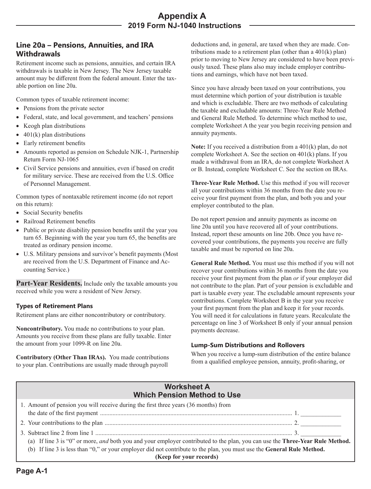#### **Line 20a – Pensions, Annuities, and IRA Withdrawals**

Retirement income such as pensions, annuities, and certain IRA withdrawals is taxable in New Jersey. The New Jersey taxable amount may be different from the federal amount. Enter the taxable portion on line 20a.

Common types of taxable retirement income:

- Pensions from the private sector
- Federal, state, and local government, and teachers' pensions
- Keogh plan distributions
- $\bullet$  401(k) plan distributions
- Early retirement benefits
- Amounts reported as pension on Schedule NJK-1, Partnership Return Form NJ-1065
- Civil Service pensions and annuities, even if based on credit for military service. These are received from the U.S. Office of Personnel Management.

Common types of nontaxable retirement income (do not report on this return):

- Social Security benefits
- Railroad Retirement benefits
- Public or private disability pension benefits until the year you turn 65. Beginning with the year you turn 65, the benefits are treated as ordinary pension income.
- U.S. Military pensions and survivor's benefit payments (Most are received from the U.S. Department of Finance and Accounting Service.)

Part-Year Residents. Include only the taxable amounts you received while you were a resident of New Jersey.

#### **Types of Retirement Plans**

Retirement plans are either noncontributory or contributory.

**Noncontributory.** You made no contributions to your plan. Amounts you receive from these plans are fully taxable. Enter the amount from your 1099-R on line 20a.

**Contributory (Other Than IRAs).** You made contributions to your plan. Contributions are usually made through payroll

deductions and, in general, are taxed when they are made. Contributions made to a retirement plan (other than a  $401(k)$  plan) prior to moving to New Jersey are considered to have been previously taxed. These plans also may include employer contributions and earnings, which have not been taxed.

Since you have already been taxed on your contributions, you must determine which portion of your distribution is taxable and which is excludable. There are two methods of calculating the taxable and excludable amounts: Three-Year Rule Method and General Rule Method. To determine which method to use, complete Worksheet A the year you begin receiving pension and annuity payments.

**Note:** If you received a distribution from a 401(k) plan, do not complete Worksheet A. See the section on 401(k) plans. If you made a withdrawal from an IRA, do not complete Worksheet A or B. Instead, complete Worksheet C. See the section on IRAs.

**Three-Year Rule Method.** Use this method if you will recover all your contributions within 36 months from the date you receive your first payment from the plan, and both you and your employer contributed to the plan.

Do not report pension and annuity payments as income on line 20a until you have recovered all of your contributions. Instead, report these amounts on line 20b. Once you have recovered your contributions, the payments you receive are fully taxable and must be reported on line 20a.

**General Rule Method.** You must use this method if you will not recover your contributions within 36 months from the date you receive your first payment from the plan *or* if your employer did not contribute to the plan. Part of your pension is excludable and part is taxable every year. The excludable amount represents your contributions. Complete Worksheet B in the year you receive your first payment from the plan and keep it for your records. You will need it for calculations in future years. Recalculate the percentage on line 3 of Worksheet B only if your annual pension payments decrease.

#### **Lump-Sum Distributions and Rollovers**

When you receive a lump-sum distribution of the entire balance from a qualified employee pension, annuity, profit-sharing, or

| <b>Worksheet A</b><br><b>Which Pension Method to Use</b>                                                                                                                                                                                                                                  |  |
|-------------------------------------------------------------------------------------------------------------------------------------------------------------------------------------------------------------------------------------------------------------------------------------------|--|
| 1. Amount of pension you will receive during the first three years (36 months) from                                                                                                                                                                                                       |  |
|                                                                                                                                                                                                                                                                                           |  |
| (a) If line 3 is "0" or more, and both you and your employer contributed to the plan, you can use the <b>Three-Year Rule Method.</b><br>(b) If line 3 is less than "0," or your employer did not contribute to the plan, you must use the General Rule Method.<br>(Keep for your records) |  |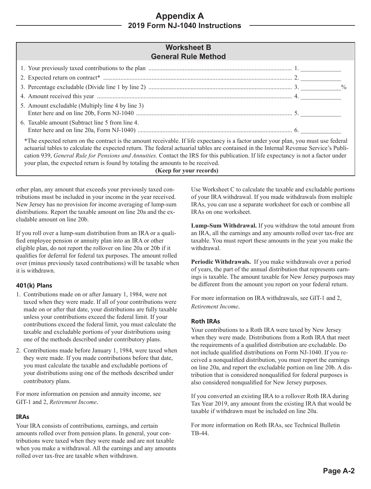#### **2019 Form NJ-1040 Instructions Appendix A**

#### **Worksheet B General Rule Method**

| <b>OCHEIGI NUIC MELIUU</b>                                                                                                                                                                                                                                                                                                                                                                                                                                                                                                                                                                          |  |
|-----------------------------------------------------------------------------------------------------------------------------------------------------------------------------------------------------------------------------------------------------------------------------------------------------------------------------------------------------------------------------------------------------------------------------------------------------------------------------------------------------------------------------------------------------------------------------------------------------|--|
|                                                                                                                                                                                                                                                                                                                                                                                                                                                                                                                                                                                                     |  |
|                                                                                                                                                                                                                                                                                                                                                                                                                                                                                                                                                                                                     |  |
|                                                                                                                                                                                                                                                                                                                                                                                                                                                                                                                                                                                                     |  |
|                                                                                                                                                                                                                                                                                                                                                                                                                                                                                                                                                                                                     |  |
| 5. Amount excludable (Multiply line 4 by line 3)                                                                                                                                                                                                                                                                                                                                                                                                                                                                                                                                                    |  |
| 6. Taxable amount (Subtract line 5 from line 4.                                                                                                                                                                                                                                                                                                                                                                                                                                                                                                                                                     |  |
| *The expected return on the contract is the amount receivable. If life expectancy is a factor under your plan, you must use federal<br>actuarial tables to calculate the expected return. The federal actuarial tables are contained in the Internal Revenue Service's Publi-<br>$\mathcal{A}^*$ and $\mathcal{A}$ and $\mathcal{A}$ and $\mathcal{A}$ and $\mathcal{A}$ are $\mathcal{A}$ and $\mathcal{A}$ and $\mathcal{A}$ and $\mathcal{A}$ and $\mathcal{A}$ and $\mathcal{A}$ and $\mathcal{A}$ and $\mathcal{A}$ and $\mathcal{A}$ and $\mathcal{A}$ and $\mathcal{A}$ and $\mathcal{A}$ an |  |

cation 939, *General Rule for Pensions and Annuities.* Contact the IRS for this publication. If life expectancy is not a factor under your plan, the expected return is found by totaling the amounts to be received. **(Keep for your records)**

other plan, any amount that exceeds your previously taxed contributions must be included in your income in the year received. New Jersey has no provision for income averaging of lump-sum distributions. Report the taxable amount on line 20a and the excludable amount on line 20b.

If you roll over a lump-sum distribution from an IRA or a qualified employee pension or annuity plan into an IRA or other eligible plan, do not report the rollover on line 20a or 20b if it qualifies for deferral for federal tax purposes. The amount rolled over (minus previously taxed contributions) will be taxable when it is withdrawn.

#### **401(k) Plans**

- 1. Contributions made on or after January 1, 1984, were not taxed when they were made. If all of your contributions were made on or after that date, your distributions are fully taxable unless your contributions exceed the federal limit. If your contributions exceed the federal limit, you must calculate the taxable and excludable portions of your distributions using one of the methods described under contributory plans.
- 2. Contributions made before January 1, 1984, were taxed when they were made. If you made contributions before that date, you must calculate the taxable and excludable portions of your distributions using one of the methods described under contributory plans.

For more information on pension and annuity income, see GIT-1 and 2, *Retirement Income.*

#### **IRAs**

Your IRA consists of contributions, earnings, and certain amounts rolled over from pension plans. In general, your contributions were taxed when they were made and are not taxable when you make a withdrawal. All the earnings and any amounts rolled over tax-free are taxable when withdrawn.

Use Worksheet C to calculate the taxable and excludable portions of your IRA withdrawal. If you made withdrawals from multiple IRAs, you can use a separate worksheet for each or combine all IRAs on one worksheet.

**Lump-Sum Withdrawal.** If you withdraw the total amount from an IRA, all the earnings and any amounts rolled over tax-free are taxable. You must report these amounts in the year you make the withdrawal.

**Periodic Withdrawals.** If you make withdrawals over a period of years, the part of the annual distribution that represents earnings is taxable. The amount taxable for New Jersey purposes may be different from the amount you report on your federal return.

For more information on IRA withdrawals, see GIT-1 and 2, *Retirement Income.*

#### **Roth IRAs**

Your contributions to a Roth IRA were taxed by New Jersey when they were made. Distributions from a Roth IRA that meet the requirements of a qualified distribution are excludable. Do not include qualified distributions on Form NJ-1040. If you received a nonqualified distribution, you must report the earnings on line 20a, and report the excludable portion on line 20b. A distribution that is considered nonqualified for federal purposes is also considered nonqualified for New Jersey purposes.

If you converted an existing IRA to a rollover Roth IRA during Tax Year 2019, any amount from the existing IRA that would be taxable if withdrawn must be included on line 20a.

For more information on Roth IRAs, see Technical Bulletin TB-44*.*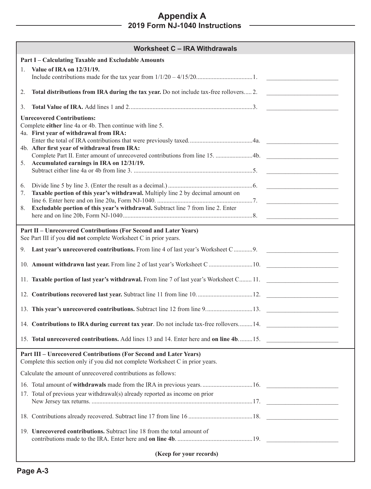#### **2019 Form NJ-1040 Instructions Appendix A**

| <b>Worksheet C - IRA Withdrawals</b>                                                                                                                                                                                                                                                                                                                                                                                                                                                                               |  |  |  |  |  |
|--------------------------------------------------------------------------------------------------------------------------------------------------------------------------------------------------------------------------------------------------------------------------------------------------------------------------------------------------------------------------------------------------------------------------------------------------------------------------------------------------------------------|--|--|--|--|--|
| Part I - Calculating Taxable and Excludable Amounts                                                                                                                                                                                                                                                                                                                                                                                                                                                                |  |  |  |  |  |
| Value of IRA on 12/31/19.<br>$\mathbf{1}$ .                                                                                                                                                                                                                                                                                                                                                                                                                                                                        |  |  |  |  |  |
| Total distributions from IRA during the tax year. Do not include tax-free rollovers 2.<br>2.                                                                                                                                                                                                                                                                                                                                                                                                                       |  |  |  |  |  |
| 3.                                                                                                                                                                                                                                                                                                                                                                                                                                                                                                                 |  |  |  |  |  |
| <b>Unrecovered Contributions:</b><br>Complete either line 4a or 4b. Then continue with line 5.<br>4a. First year of withdrawal from IRA:<br>4b. After first year of withdrawal from IRA:<br>Complete Part II. Enter amount of unrecovered contributions from line 15.  4b.<br>5. Accumulated earnings in IRA on 12/31/19.<br>6.<br>Taxable portion of this year's withdrawal. Multiply line 2 by decimal amount on<br>7.<br>Excludable portion of this year's withdrawal. Subtract line 7 from line 2. Enter<br>8. |  |  |  |  |  |
| Part II - Unrecovered Contributions (For Second and Later Years)<br>See Part III if you did not complete Worksheet C in prior years.                                                                                                                                                                                                                                                                                                                                                                               |  |  |  |  |  |
| 9. Last year's unrecovered contributions. From line 4 of last year's Worksheet C 9.                                                                                                                                                                                                                                                                                                                                                                                                                                |  |  |  |  |  |
| 10. Amount withdrawn last year. From line 2 of last year's Worksheet C  10.                                                                                                                                                                                                                                                                                                                                                                                                                                        |  |  |  |  |  |
| 11. Taxable portion of last year's withdrawal. From line 7 of last year's Worksheet C 11.                                                                                                                                                                                                                                                                                                                                                                                                                          |  |  |  |  |  |
|                                                                                                                                                                                                                                                                                                                                                                                                                                                                                                                    |  |  |  |  |  |
| 13. This year's unrecovered contributions. Subtract line 12 from line 9 13.                                                                                                                                                                                                                                                                                                                                                                                                                                        |  |  |  |  |  |
| 14. Contributions to IRA during current tax year. Do not include tax-free rollovers 14.                                                                                                                                                                                                                                                                                                                                                                                                                            |  |  |  |  |  |
| 15. Total unrecovered contributions. Add lines 13 and 14. Enter here and on line 4b 15.                                                                                                                                                                                                                                                                                                                                                                                                                            |  |  |  |  |  |
| Part III - Unrecovered Contributions (For Second and Later Years)<br>Complete this section only if you did not complete Worksheet C in prior years.                                                                                                                                                                                                                                                                                                                                                                |  |  |  |  |  |
| Calculate the amount of unrecovered contributions as follows:                                                                                                                                                                                                                                                                                                                                                                                                                                                      |  |  |  |  |  |
|                                                                                                                                                                                                                                                                                                                                                                                                                                                                                                                    |  |  |  |  |  |
| 17. Total of previous year withdrawal(s) already reported as income on prior                                                                                                                                                                                                                                                                                                                                                                                                                                       |  |  |  |  |  |
|                                                                                                                                                                                                                                                                                                                                                                                                                                                                                                                    |  |  |  |  |  |
| 19. Unrecovered contributions. Subtract line 18 from the total amount of                                                                                                                                                                                                                                                                                                                                                                                                                                           |  |  |  |  |  |
| (Keep for your records)                                                                                                                                                                                                                                                                                                                                                                                                                                                                                            |  |  |  |  |  |